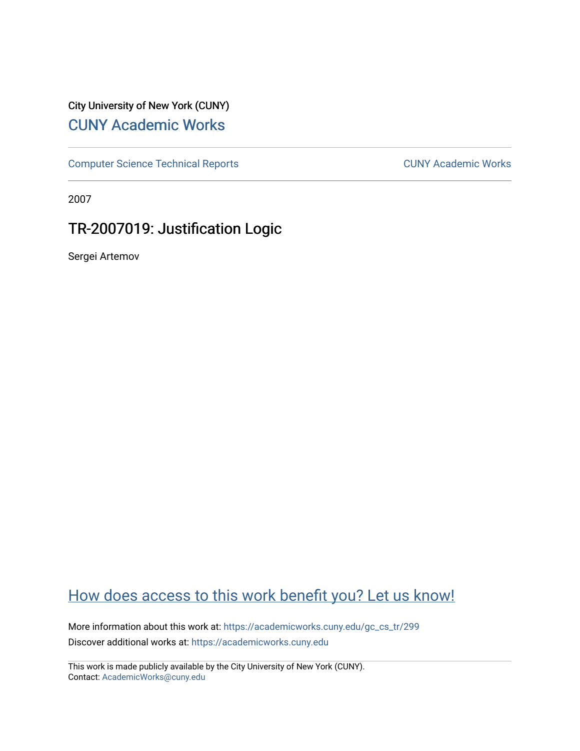# City University of New York (CUNY) [CUNY Academic Works](https://academicworks.cuny.edu/)

[Computer Science Technical Reports](https://academicworks.cuny.edu/gc_cs_tr) **CUNY Academic Works** CUNY Academic Works

2007

# TR-2007019: Justification Logic

Sergei Artemov

# [How does access to this work benefit you? Let us know!](http://ols.cuny.edu/academicworks/?ref=https://academicworks.cuny.edu/gc_cs_tr/299)

More information about this work at: [https://academicworks.cuny.edu/gc\\_cs\\_tr/299](https://academicworks.cuny.edu/gc_cs_tr/299)  Discover additional works at: [https://academicworks.cuny.edu](https://academicworks.cuny.edu/?)

This work is made publicly available by the City University of New York (CUNY). Contact: [AcademicWorks@cuny.edu](mailto:AcademicWorks@cuny.edu)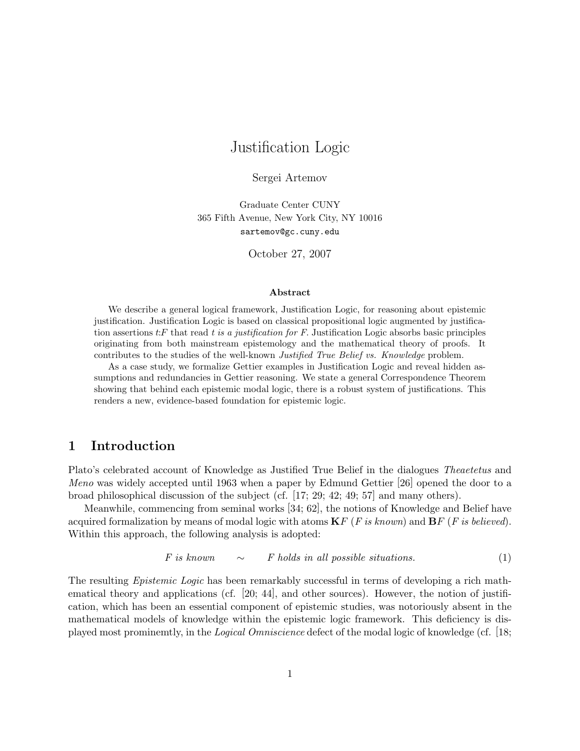## Justification Logic

Sergei Artemov

Graduate Center CUNY 365 Fifth Avenue, New York City, NY 10016 sartemov@gc.cuny.edu

October 27, 2007

#### Abstract

We describe a general logical framework, Justification Logic, for reasoning about epistemic justification. Justification Logic is based on classical propositional logic augmented by justification assertions t:F that read t is a justification for F. Justification Logic absorbs basic principles originating from both mainstream epistemology and the mathematical theory of proofs. It contributes to the studies of the well-known Justified True Belief vs. Knowledge problem.

As a case study, we formalize Gettier examples in Justification Logic and reveal hidden assumptions and redundancies in Gettier reasoning. We state a general Correspondence Theorem showing that behind each epistemic modal logic, there is a robust system of justifications. This renders a new, evidence-based foundation for epistemic logic.

### 1 Introduction

Plato's celebrated account of Knowledge as Justified True Belief in the dialogues *Theaetetus* and Meno was widely accepted until 1963 when a paper by Edmund Gettier [26] opened the door to a broad philosophical discussion of the subject (cf. [17; 29; 42; 49; 57] and many others).

Meanwhile, commencing from seminal works [34; 62], the notions of Knowledge and Belief have acquired formalization by means of modal logic with atoms  $\boldsymbol{K}F$  (*F is known*) and  $\boldsymbol{B}F$  (*F is believed*). Within this approach, the following analysis is adopted:

$$
F \text{ is known} \qquad \sim \qquad \text{F holds in all possible situations.} \tag{1}
$$

The resulting *Epistemic Logic* has been remarkably successful in terms of developing a rich mathematical theory and applications (cf.  $[20; 44]$ , and other sources). However, the notion of justification, which has been an essential component of epistemic studies, was notoriously absent in the mathematical models of knowledge within the epistemic logic framework. This deficiency is displayed most prominemtly, in the Logical Omniscience defect of the modal logic of knowledge (cf. [18;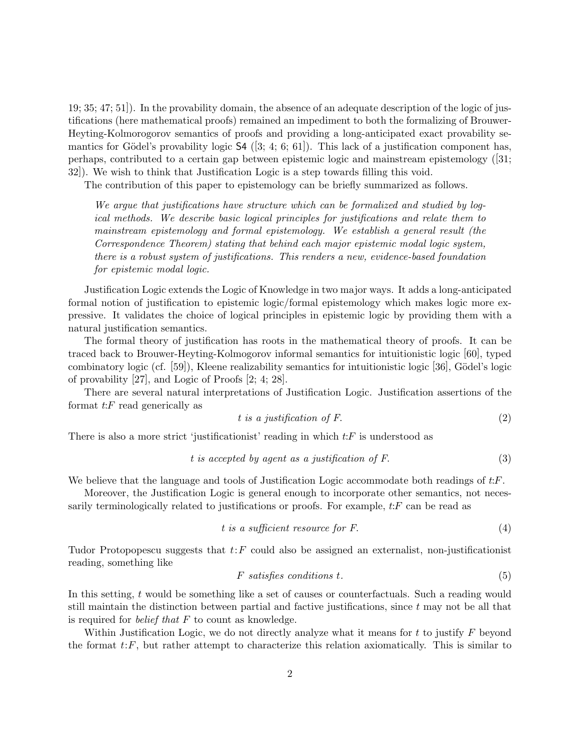19; 35; 47; 51]). In the provability domain, the absence of an adequate description of the logic of justifications (here mathematical proofs) remained an impediment to both the formalizing of Brouwer-Heyting-Kolmorogorov semantics of proofs and providing a long-anticipated exact provability semantics for Gödel's provability logic  $\mathsf{S4}$  ([3; 4; 6; 61]). This lack of a justification component has, perhaps, contributed to a certain gap between epistemic logic and mainstream epistemology ([31; 32]). We wish to think that Justification Logic is a step towards filling this void.

The contribution of this paper to epistemology can be briefly summarized as follows.

We argue that justifications have structure which can be formalized and studied by logical methods. We describe basic logical principles for justifications and relate them to mainstream epistemology and formal epistemology. We establish a general result (the Correspondence Theorem) stating that behind each major epistemic modal logic system, there is a robust system of justifications. This renders a new, evidence-based foundation for epistemic modal logic.

Justification Logic extends the Logic of Knowledge in two major ways. It adds a long-anticipated formal notion of justification to epistemic logic/formal epistemology which makes logic more expressive. It validates the choice of logical principles in epistemic logic by providing them with a natural justification semantics.

The formal theory of justification has roots in the mathematical theory of proofs. It can be traced back to Brouwer-Heyting-Kolmogorov informal semantics for intuitionistic logic [60], typed combinatory logic (cf.  $[59]$ ), Kleene realizability semantics for intuitionistic logic  $[36]$ , Gödel's logic of provability [27], and Logic of Proofs [2; 4; 28].

There are several natural interpretations of Justification Logic. Justification assertions of the format  $t$ :  $F$  read generically as

$$
t \t{is a justification of } F. \t(2)
$$

There is also a more strict 'justificationist' reading in which  $t$ : $F$  is understood as

$$
t \text{ is accepted by agent as a justification of } F. \tag{3}
$$

We believe that the language and tools of Justification Logic accommodate both readings of  $t$ : $F$ .

Moreover, the Justification Logic is general enough to incorporate other semantics, not necessarily terminologically related to justifications or proofs. For example,  $t$ : $F$  can be read as

$$
t \text{ is a sufficient resource for } F. \tag{4}
$$

Tudor Protopopescu suggests that  $t$ : F could also be assigned an externalist, non-justificationist reading, something like

$$
F \ satisfies \ conditions \ t. \tag{5}
$$

In this setting, t would be something like a set of causes or counterfactuals. Such a reading would still maintain the distinction between partial and factive justifications, since  $t$  may not be all that is required for *belief that*  $F$  to count as knowledge.

Within Justification Logic, we do not directly analyze what it means for t to justify  $F$  beyond the format  $t$ : $F$ , but rather attempt to characterize this relation axiomatically. This is similar to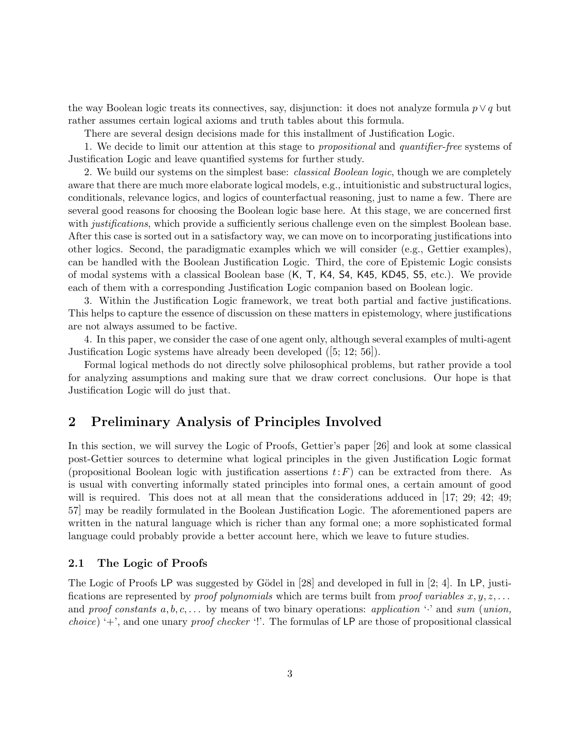the way Boolean logic treats its connectives, say, disjunction: it does not analyze formula  $p \vee q$  but rather assumes certain logical axioms and truth tables about this formula.

There are several design decisions made for this installment of Justification Logic.

1. We decide to limit our attention at this stage to *propositional* and *quantifier-free* systems of Justification Logic and leave quantified systems for further study.

2. We build our systems on the simplest base: *classical Boolean logic*, though we are completely aware that there are much more elaborate logical models, e.g., intuitionistic and substructural logics, conditionals, relevance logics, and logics of counterfactual reasoning, just to name a few. There are several good reasons for choosing the Boolean logic base here. At this stage, we are concerned first with justifications, which provide a sufficiently serious challenge even on the simplest Boolean base. After this case is sorted out in a satisfactory way, we can move on to incorporating justifications into other logics. Second, the paradigmatic examples which we will consider (e.g., Gettier examples), can be handled with the Boolean Justification Logic. Third, the core of Epistemic Logic consists of modal systems with a classical Boolean base (K, T, K4, S4, K45, KD45, S5, etc.). We provide each of them with a corresponding Justification Logic companion based on Boolean logic.

3. Within the Justification Logic framework, we treat both partial and factive justifications. This helps to capture the essence of discussion on these matters in epistemology, where justifications are not always assumed to be factive.

4. In this paper, we consider the case of one agent only, although several examples of multi-agent Justification Logic systems have already been developed ([5; 12; 56]).

Formal logical methods do not directly solve philosophical problems, but rather provide a tool for analyzing assumptions and making sure that we draw correct conclusions. Our hope is that Justification Logic will do just that.

### 2 Preliminary Analysis of Principles Involved

In this section, we will survey the Logic of Proofs, Gettier's paper [26] and look at some classical post-Gettier sources to determine what logical principles in the given Justification Logic format (propositional Boolean logic with justification assertions  $t$ :  $F$ ) can be extracted from there. As is usual with converting informally stated principles into formal ones, a certain amount of good will is required. This does not at all mean that the considerations adduced in [17; 29; 42; 49; 57] may be readily formulated in the Boolean Justification Logic. The aforementioned papers are written in the natural language which is richer than any formal one; a more sophisticated formal language could probably provide a better account here, which we leave to future studies.

#### 2.1 The Logic of Proofs

The Logic of Proofs LP was suggested by Gödel in  $[28]$  and developed in full in  $[2; 4]$ . In LP, justifications are represented by *proof polynomials* which are terms built from *proof variables*  $x, y, z, ...$ and proof constants  $a, b, c, \ldots$  by means of two binary operations: application '' and sum (union, *choice*)  $\pm$ , and one unary *proof checker*  $\cdot$ !'. The formulas of LP are those of propositional classical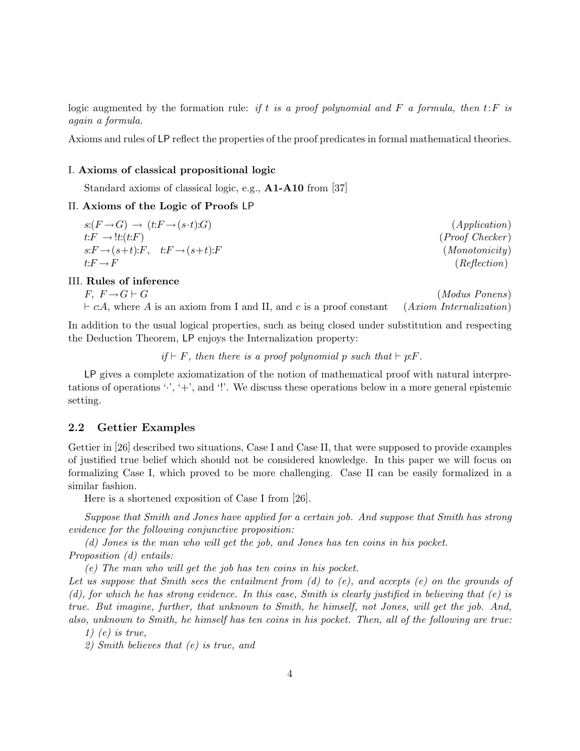logic augmented by the formation rule: if t is a proof polynomial and F a formula, then  $t$ : F is again a formula.

Axioms and rules of LP reflect the properties of the proof predicates in formal mathematical theories.

#### I. Axioms of classical propositional logic

Standard axioms of classical logic, e.g., A1-A10 from [37]

#### II. Axioms of the Logic of Proofs LP

| $s(F \rightarrow G) \rightarrow (t: F \rightarrow (s \cdot t):G)$ | (Application)        |
|-------------------------------------------------------------------|----------------------|
| $t:F \rightarrow !t:(t:F)$                                        | $(Proof \; Checker)$ |
| $s:F \rightarrow (s+t):F, \quad t:F \rightarrow (s+t):F$          | (Monotonicity)       |
| $t\text{:}F$ $\rightarrow$ $F$                                    | (Reflection)         |

III. Rules of inference

 $F, F \rightarrow G \vdash G$  (Modus Ponens)  $\vdash c:A$ , where A is an axiom from I and II, and c is a proof constant (Axiom Internalization)

In addition to the usual logical properties, such as being closed under substitution and respecting the Deduction Theorem, LP enjoys the Internalization property:

if  $\vdash$  F, then there is a proof polynomial p such that  $\vdash$  p: F.

LP gives a complete axiomatization of the notion of mathematical proof with natural interpretations of operations  $\langle \cdot, \cdot \rangle$ , and  $\langle \cdot \rangle$ . We discuss these operations below in a more general epistemic setting.

#### 2.2 Gettier Examples

Gettier in [26] described two situations, Case I and Case II, that were supposed to provide examples of justified true belief which should not be considered knowledge. In this paper we will focus on formalizing Case I, which proved to be more challenging. Case II can be easily formalized in a similar fashion.

Here is a shortened exposition of Case I from [26].

Suppose that Smith and Jones have applied for a certain job. And suppose that Smith has strong evidence for the following conjunctive proposition:

(d) Jones is the man who will get the job, and Jones has ten coins in his pocket. Proposition (d) entails:

(e) The man who will get the job has ten coins in his pocket.

Let us suppose that Smith sees the entailment from  $(d)$  to  $(e)$ , and accepts  $(e)$  on the grounds of  $(d)$ , for which he has strong evidence. In this case, Smith is clearly justified in believing that  $(e)$  is true. But imagine, further, that unknown to Smith, he himself, not Jones, will get the job. And, also, unknown to Smith, he himself has ten coins in his pocket. Then, all of the following are true:

1) (e) is true,

2) Smith believes that (e) is true, and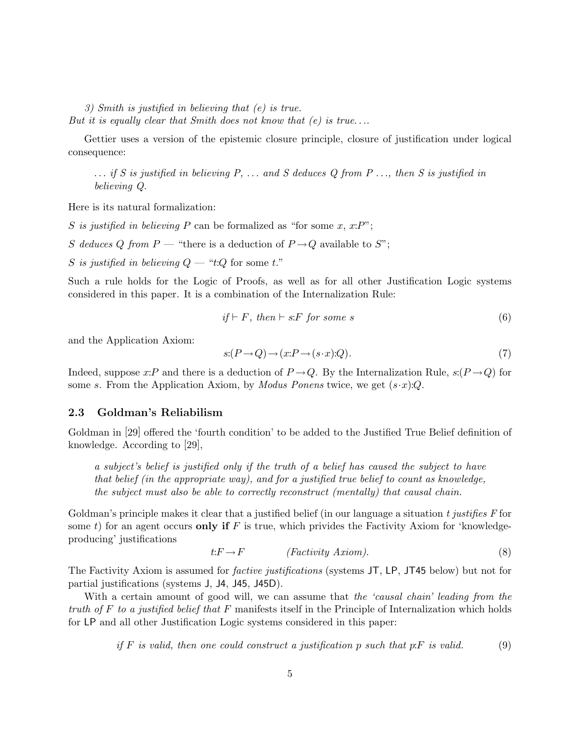3) Smith is justified in believing that (e) is true.

But it is equally clear that Smith does not know that  $(e)$  is true...

Gettier uses a version of the epistemic closure principle, closure of justification under logical consequence:

 $\ldots$  if S is justified in believing P,  $\ldots$  and S deduces Q from P  $\ldots$ , then S is justified in believing Q.

Here is its natural formalization:

S is justified in believing P can be formalized as "for some  $x, x : P$ ";

S deduces Q from P — "there is a deduction of  $P \rightarrow Q$  available to S";

S is justified in believing  $Q$  — "t:Q for some t."

Such a rule holds for the Logic of Proofs, as well as for all other Justification Logic systems considered in this paper. It is a combination of the Internalization Rule:

$$
if \vdash F, \ then \vdash s \colon F \ for \ some \ s \tag{6}
$$

and the Application Axiom:

$$
s: (P \to Q) \to (x: P \to (s \cdot x):Q). \tag{7}
$$

Indeed, suppose x:P and there is a deduction of  $P \rightarrow Q$ . By the Internalization Rule,  $s:(P \rightarrow Q)$  for some s. From the Application Axiom, by *Modus Ponens* twice, we get  $(s \cdot x)$ :*Q*.

#### 2.3 Goldman's Reliabilism

Goldman in [29] offered the 'fourth condition' to be added to the Justified True Belief definition of knowledge. According to [29],

a subject's belief is justified only if the truth of a belief has caused the subject to have that belief (in the appropriate way), and for a justified true belief to count as knowledge, the subject must also be able to correctly reconstruct (mentally) that causal chain.

Goldman's principle makes it clear that a justified belief (in our language a situation t justifies  $F$  for some t) for an agent occurs only if F is true, which privides the Factivity Axiom for 'knowledgeproducing' justifications

$$
t: F \to F \qquad \qquad (Factivity \ Axiom). \tag{8}
$$

The Factivity Axiom is assumed for *factive justifications* (systems JT, LP, JT45 below) but not for partial justifications (systems J, J4, J45, J45D).

With a certain amount of good will, we can assume that the 'causal chain' leading from the truth of F to a justified belief that F manifests itself in the Principle of Internalization which holds for LP and all other Justification Logic systems considered in this paper:

if F is valid, then one could construct a justification p such that  $p$ : F is valid. (9)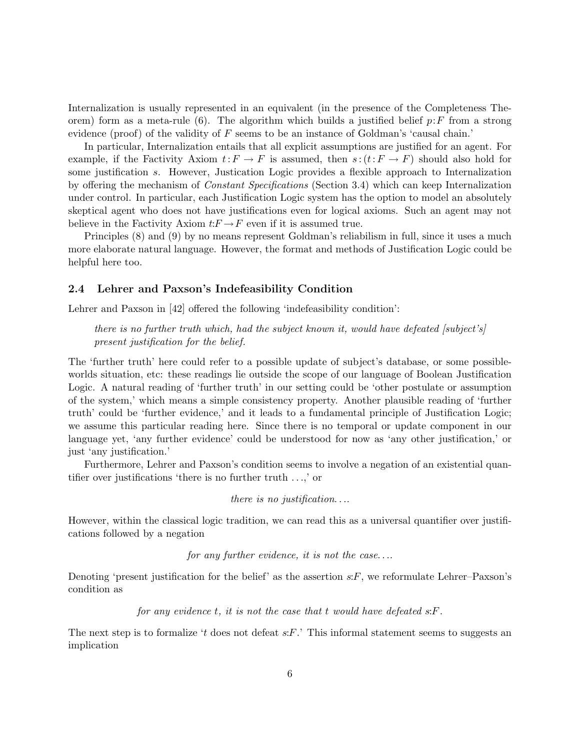Internalization is usually represented in an equivalent (in the presence of the Completeness Theorem) form as a meta-rule (6). The algorithm which builds a justified belief  $p: F$  from a strong evidence (proof) of the validity of  $F$  seems to be an instance of Goldman's 'causal chain.'

In particular, Internalization entails that all explicit assumptions are justified for an agent. For example, if the Factivity Axiom  $t: F \to F$  is assumed, then  $s: (t: F \to F)$  should also hold for some justification s. However, Justication Logic provides a flexible approach to Internalization by offering the mechanism of Constant Specifications (Section 3.4) which can keep Internalization under control. In particular, each Justification Logic system has the option to model an absolutely skeptical agent who does not have justifications even for logical axioms. Such an agent may not believe in the Factivity Axiom  $t: F \to F$  even if it is assumed true.

Principles (8) and (9) by no means represent Goldman's reliabilism in full, since it uses a much more elaborate natural language. However, the format and methods of Justification Logic could be helpful here too.

#### 2.4 Lehrer and Paxson's Indefeasibility Condition

Lehrer and Paxson in [42] offered the following 'indefeasibility condition':

there is no further truth which, had the subject known it, would have defeated [subject's] present justification for the belief.

The 'further truth' here could refer to a possible update of subject's database, or some possibleworlds situation, etc: these readings lie outside the scope of our language of Boolean Justification Logic. A natural reading of 'further truth' in our setting could be 'other postulate or assumption of the system,' which means a simple consistency property. Another plausible reading of 'further truth' could be 'further evidence,' and it leads to a fundamental principle of Justification Logic; we assume this particular reading here. Since there is no temporal or update component in our language yet, 'any further evidence' could be understood for now as 'any other justification,' or just 'any justification.'

Furthermore, Lehrer and Paxson's condition seems to involve a negation of an existential quantifier over justifications 'there is no further truth . . .,' or

#### there is no justification. . ..

However, within the classical logic tradition, we can read this as a universal quantifier over justifications followed by a negation

for any further evidence, it is not the case. . ..

Denoting 'present justification for the belief' as the assertion  $s:F$ , we reformulate Lehrer–Paxson's condition as

for any evidence t, it is not the case that t would have defeated  $s.F$ .

The next step is to formalize 't does not defeat  $s.F$ .' This informal statement seems to suggests an implication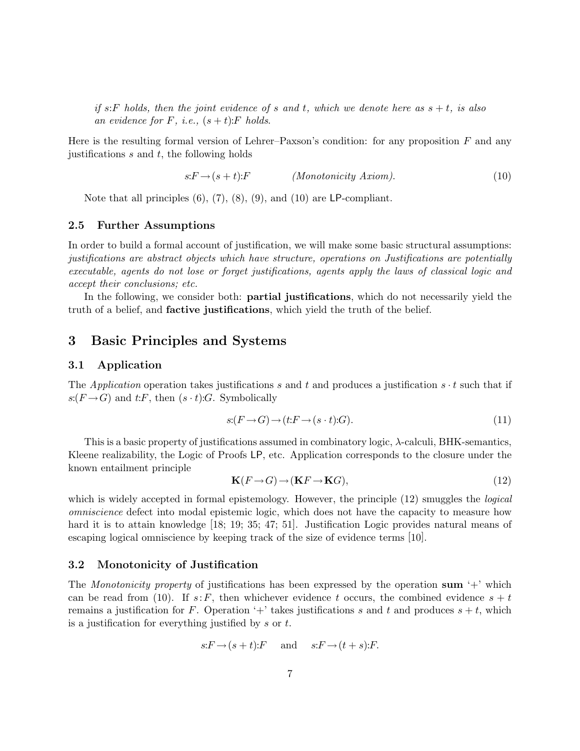if s: F holds, then the joint evidence of s and t, which we denote here as  $s + t$ , is also an evidence for F, i.e.,  $(s + t)$ : F holds.

Here is the resulting formal version of Lehrer–Paxson's condition: for any proposition  $F$  and any justifications  $s$  and  $t$ , the following holds

 $s: F \to (s + t): F$  (Monotonicity Axiom). (10)

Note that all principles  $(6)$ ,  $(7)$ ,  $(8)$ ,  $(9)$ , and  $(10)$  are LP-compliant.

#### 2.5 Further Assumptions

In order to build a formal account of justification, we will make some basic structural assumptions: justifications are abstract objects which have structure, operations on Justifications are potentially executable, agents do not lose or forget justifications, agents apply the laws of classical logic and accept their conclusions; etc.

In the following, we consider both: **partial justifications**, which do not necessarily yield the truth of a belief, and factive justifications, which yield the truth of the belief.

### 3 Basic Principles and Systems

#### 3.1 Application

The *Application* operation takes justifications s and t and produces a justification  $s \cdot t$  such that if  $s:(F \rightarrow G)$  and t:F, then  $(s \cdot t):G$ . Symbolically

$$
s: (F \to G) \to (t: F \to (s \cdot t): G). \tag{11}
$$

This is a basic property of justifications assumed in combinatory logic,  $\lambda$ -calculi, BHK-semantics, Kleene realizability, the Logic of Proofs LP, etc. Application corresponds to the closure under the known entailment principle

$$
\mathbf{K}(F \to G) \to (\mathbf{K}F \to \mathbf{K}G),\tag{12}
$$

which is widely accepted in formal epistemology. However, the principle (12) smuggles the *logical* omniscience defect into modal epistemic logic, which does not have the capacity to measure how hard it is to attain knowledge [18; 19; 35; 47; 51]. Justification Logic provides natural means of escaping logical omniscience by keeping track of the size of evidence terms [10].

#### 3.2 Monotonicity of Justification

The *Monotonicity property* of justifications has been expressed by the operation sum  $+$  which can be read from (10). If  $s: F$ , then whichever evidence t occurs, the combined evidence  $s + t$ remains a justification for F. Operation '+' takes justifications s and t and produces  $s + t$ , which is a justification for everything justified by  $s$  or  $t$ .

$$
s: F \to (s+t): F
$$
 and  $s: F \to (t+s): F$ .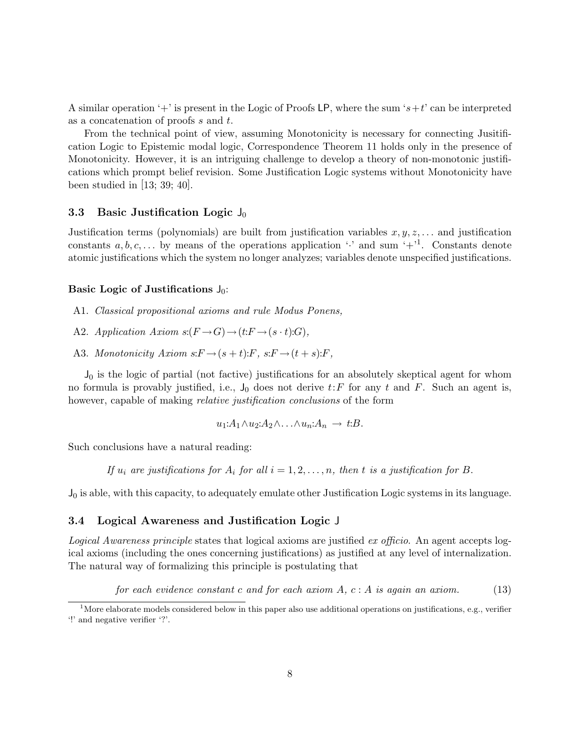A similar operation '+' is present in the Logic of Proofs LP, where the sum ' $s+t$ ' can be interpreted as a concatenation of proofs s and t.

From the technical point of view, assuming Monotonicity is necessary for connecting Jusitification Logic to Epistemic modal logic, Correspondence Theorem 11 holds only in the presence of Monotonicity. However, it is an intriguing challenge to develop a theory of non-monotonic justifications which prompt belief revision. Some Justification Logic systems without Monotonicity have been studied in [13; 39; 40].

#### 3.3 Basic Justification Logic  $J_0$

Justification terms (polynomials) are built from justification variables  $x, y, z, \ldots$  and justification constants  $a, b, c, \ldots$  by means of the operations application  $\cdot$  and sum  $+1$ . Constants denote atomic justifications which the system no longer analyzes; variables denote unspecified justifications.

#### Basic Logic of Justifications  $J_0$ :

A1. Classical propositional axioms and rule Modus Ponens,

- A2. Application Axiom  $s:(F \to G) \to (t:F \to (s \cdot t):G)$ ,
- A3. Monotonicity Axiom  $s: F \to (s + t): F$ ,  $s: F \to (t + s): F$ ,

 $J_0$  is the logic of partial (not factive) justifications for an absolutely skeptical agent for whom no formula is provably justified, i.e.,  $J_0$  does not derive  $t$ : F for any t and F. Such an agent is, however, capable of making *relative justification conclusions* of the form

$$
u_1:A_1\wedge u_2:A_2\wedge\ldots\wedge u_n:A_n\to t:B.
$$

Such conclusions have a natural reading:

If  $u_i$  are justifications for  $A_i$  for all  $i = 1, 2, \ldots, n$ , then t is a justification for B.

 $J_0$  is able, with this capacity, to adequately emulate other Justification Logic systems in its language.

#### 3.4 Logical Awareness and Justification Logic J

Logical Awareness principle states that logical axioms are justified ex officio. An agent accepts logical axioms (including the ones concerning justifications) as justified at any level of internalization. The natural way of formalizing this principle is postulating that

for each evidence constant c and for each axiom  $A, c : A$  is again an axiom. (13)

<sup>&</sup>lt;sup>1</sup>More elaborate models considered below in this paper also use additional operations on justifications, e.g., verifier '!' and negative verifier '?'.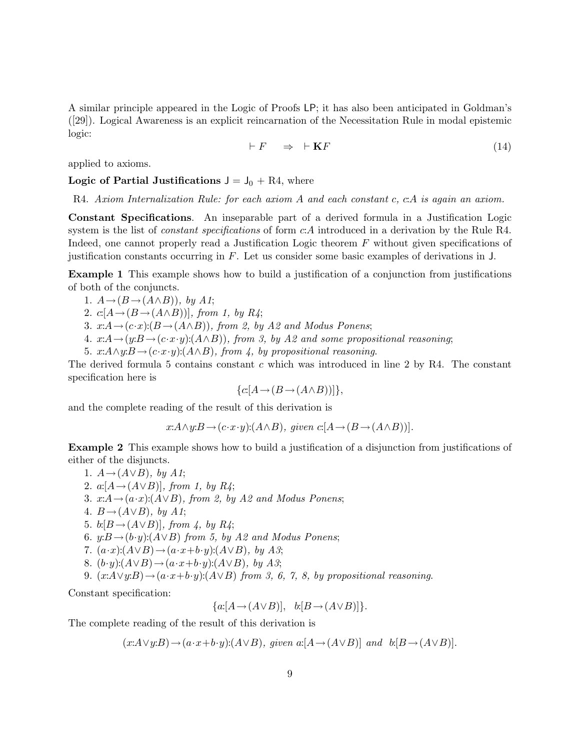A similar principle appeared in the Logic of Proofs LP; it has also been anticipated in Goldman's ([29]). Logical Awareness is an explicit reincarnation of the Necessitation Rule in modal epistemic logic:

$$
\vdash F \quad \Rightarrow \quad \vdash \mathbf{K}F \tag{14}
$$

applied to axioms.

**Logic of Partial Justifications**  $J = J_0 + R4$ **, where** 

R4. Axiom Internalization Rule: for each axiom A and each constant c, c.A is again an axiom.

Constant Specifications. An inseparable part of a derived formula in a Justification Logic system is the list of *constant specifications* of form  $c:A$  introduced in a derivation by the Rule R4. Indeed, one cannot properly read a Justification Logic theorem F without given specifications of justification constants occurring in  $F$ . Let us consider some basic examples of derivations in  $J$ .

Example 1 This example shows how to build a justification of a conjunction from justifications of both of the conjuncts.

1. 
$$
A \rightarrow (B \rightarrow (A \land B))
$$
, by A1;

2.  $c[A \rightarrow (B \rightarrow (A \land B))]$ , from 1, by R4;

3.  $x:A \rightarrow (c \cdot x):(B \rightarrow (A \wedge B))$ , from 2, by A2 and Modus Ponens;

- 4.  $x:A \rightarrow (y:B \rightarrow (c \cdot x \cdot y):(A \land B))$ , from 3, by A2 and some propositional reasoning;
- 5.  $x:A \wedge y:B \rightarrow (c \cdot x \cdot y):(A \wedge B)$ , from 4, by propositional reasoning.

The derived formula 5 contains constant  $c$  which was introduced in line 2 by R4. The constant specification here is

$$
\{c[A \rightarrow (B \rightarrow (A \wedge B))] \},\
$$

and the complete reading of the result of this derivation is

$$
x:A\wedge y:B\rightarrow (c\cdot x\cdot y):(A\wedge B), \text{ given } c[A\rightarrow (B\rightarrow (A\wedge B))].
$$

Example 2 This example shows how to build a justification of a disjunction from justifications of either of the disjuncts.

1.  $A \rightarrow (A \lor B)$ , by A1; 2.  $a:[A \rightarrow (A \vee B)]$ , from 1, by R4; 3.  $x:A\rightarrow(a\cdot x):(A\vee B)$ , from 2, by A2 and Modus Ponens; 4.  $B \rightarrow (A \lor B)$ , by A1; 5. b:[ $B \rightarrow (A \vee B)$ ], from 4, by R4; 6.  $y: B \rightarrow (b \cdot y): (A \vee B)$  from 5, by A2 and Modus Ponens; 7.  $(a \cdot x):(A \vee B) \rightarrow (a \cdot x+b \cdot y):(A \vee B)$ , by A3; 8.  $(b \cdot y):(A \vee B) \rightarrow (a \cdot x + b \cdot y):(A \vee B)$ , by A3; 9.  $(x:A\vee y:B)\rightarrow(a\cdot x+b\cdot y):(A\vee B)$  from 3, 6, 7, 8, by propositional reasoning.

Constant specification:

$$
\{a:[A\rightarrow(A\vee B)],\quad b:[B\rightarrow(A\vee B)]\}.
$$

The complete reading of the result of this derivation is

$$
(x:A\vee y:B)\rightarrow (a\cdot x+b\cdot y):(A\vee B), \text{ given } a:[A\rightarrow (A\vee B)] \text{ and } b:[B\rightarrow (A\vee B)].
$$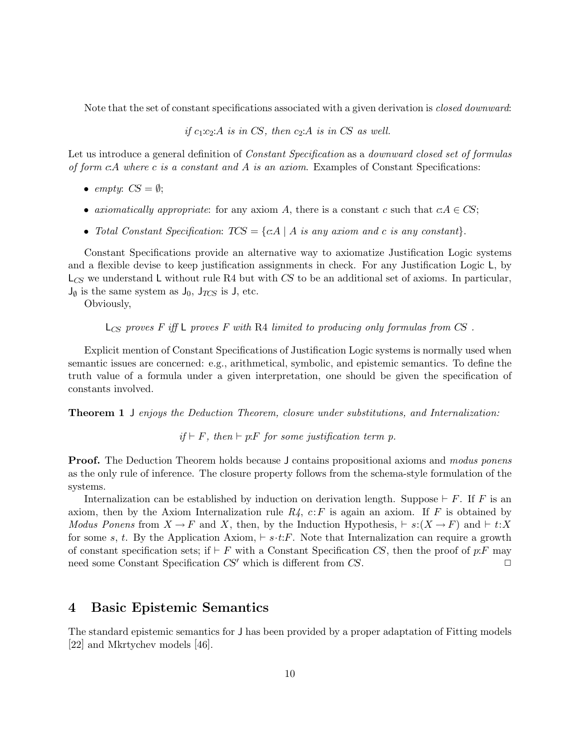Note that the set of constant specifications associated with a given derivation is *closed downward*:

if  $c_1:c_2:A$  is in CS, then  $c_2:A$  is in CS as well.

Let us introduce a general definition of *Constant Specification* as a *downward closed set of formulas* of form c:A where c is a constant and A is an axiom. Examples of Constant Specifications:

- empty:  $CS = \emptyset$ ;
- axiomatically appropriate: for any axiom A, there is a constant c such that  $c.A \in CS$ ;
- Total Constant Specification:  $TCS = \{cA \mid A \text{ is any axiom and } c \text{ is any constant}\}.$

Constant Specifications provide an alternative way to axiomatize Justification Logic systems and a flexible devise to keep justification assignments in check. For any Justification Logic L, by  $\mathsf{L}_{CS}$  we understand L without rule R4 but with CS to be an additional set of axioms. In particular,  $J_{\emptyset}$  is the same system as  $J_0$ ,  $J_{TCS}$  is J, etc.

Obviously,

 $\mathsf{L}_{CS}$  proves F iff L proves F with R4 limited to producing only formulas from CS.

Explicit mention of Constant Specifications of Justification Logic systems is normally used when semantic issues are concerned: e.g., arithmetical, symbolic, and epistemic semantics. To define the truth value of a formula under a given interpretation, one should be given the specification of constants involved.

Theorem 1 J enjoys the Deduction Theorem, closure under substitutions, and Internalization:

if  $\vdash$  F, then  $\vdash$  p: F for some justification term p.

**Proof.** The Deduction Theorem holds because J contains propositional axioms and modus ponens as the only rule of inference. The closure property follows from the schema-style formulation of the systems.

Internalization can be established by induction on derivation length. Suppose  $\vdash F$ . If F is an axiom, then by the Axiom Internalization rule  $R_4$ ,  $c: F$  is again an axiom. If F is obtained by Modus Ponens from  $X \to F$  and X, then, by the Induction Hypothesis,  $\vdash s:(X \to F)$  and  $\vdash t:X$ for some s, t. By the Application Axiom,  $\vdash s \cdot t$ : F. Note that Internalization can require a growth of constant specification sets; if  $\vdash F$  with a Constant Specification CS, then the proof of p:F may need some Constant Specification  $CS'$  which is different from  $CS$ .

### 4 Basic Epistemic Semantics

The standard epistemic semantics for J has been provided by a proper adaptation of Fitting models [22] and Mkrtychev models [46].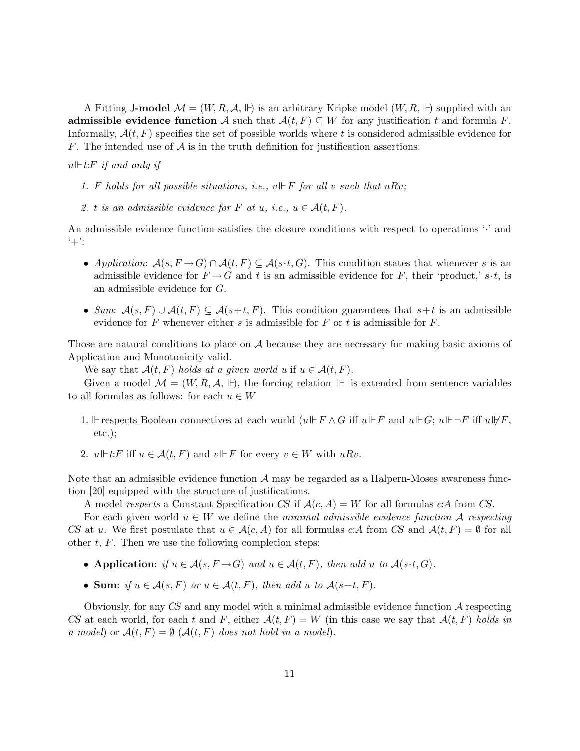A Fitting **J-model**  $\mathcal{M} = (W, R, \mathcal{A}, \Vdash)$  is an arbitrary Kripke model  $(W, R, \Vdash)$  supplied with an admissible evidence function A such that  $A(t, F) \subseteq W$  for any justification t and formula F. Informally,  $\mathcal{A}(t, F)$  specifies the set of possible worlds where t is considered admissible evidence for F. The intended use of  $A$  is in the truth definition for justification assertions:

#### $u \Vdash t$ : F if and only if

- 1. F holds for all possible situations, i.e.,  $v \Vdash F$  for all v such that  $uRv$ ;
- 2. t is an admissible evidence for F at u, i.e.,  $u \in \mathcal{A}(t, F)$ .

An admissible evidence function satisfies the closure conditions with respect to operations '·' and  $`+$ :

- Application:  $A(s, F \to G) \cap A(t, F) \subseteq A(s \cdot t, G)$ . This condition states that whenever s is an admissible evidence for  $F \to G$  and t is an admissible evidence for F, their 'product,' s·t, is an admissible evidence for G.
- Sum:  $\mathcal{A}(s, F) \cup \mathcal{A}(t, F) \subseteq \mathcal{A}(s+t, F)$ . This condition guarantees that  $s+t$  is an admissible evidence for  $F$  whenever either  $s$  is admissible for  $F$  or  $t$  is admissible for  $F$ .

Those are natural conditions to place on A because they are necessary for making basic axioms of Application and Monotonicity valid.

We say that  $\mathcal{A}(t, F)$  holds at a given world u if  $u \in \mathcal{A}(t, F)$ .

Given a model  $\mathcal{M} = (W, R, \mathcal{A}, \Vdash)$ , the forcing relation  $\Vdash$  is extended from sentence variables to all formulas as follows: for each  $u \in W$ 

- 1. ⊩ respects Boolean connectives at each world  $(u \Vdash F \wedge G$  iff  $u \Vdash F$  and  $u \Vdash G$ ;  $u \Vdash \neg F$  iff  $u \Vdash F$ . etc.);
- 2.  $u \Vdash t$ : If  $u \in \mathcal{A}(t, F)$  and  $v \Vdash F$  for every  $v \in W$  with  $u R v$ .

Note that an admissible evidence function  $A$  may be regarded as a Halpern-Moses awareness function [20] equipped with the structure of justifications.

A model respects a Constant Specification CS if  $\mathcal{A}(c, A) = W$  for all formulas c:A from CS.

For each given world  $u \in W$  we define the minimal admissible evidence function A respecting CS at u. We first postulate that  $u \in \mathcal{A}(c, A)$  for all formulas c:A from CS and  $\mathcal{A}(t, F) = \emptyset$  for all other  $t, F$ . Then we use the following completion steps:

- Application: if  $u \in \mathcal{A}(s, F \to G)$  and  $u \in \mathcal{A}(t, F)$ , then add u to  $\mathcal{A}(s \cdot t, G)$ .
- Sum: if  $u \in \mathcal{A}(s, F)$  or  $u \in \mathcal{A}(t, F)$ , then add u to  $\mathcal{A}(s+t, F)$ .

Obviously, for any  $CS$  and any model with a minimal admissible evidence function  $A$  respecting CS at each world, for each t and F, either  $\mathcal{A}(t, F) = W$  (in this case we say that  $\mathcal{A}(t, F)$  holds in a model) or  $\mathcal{A}(t, F) = \emptyset$  ( $\mathcal{A}(t, F)$  does not hold in a model).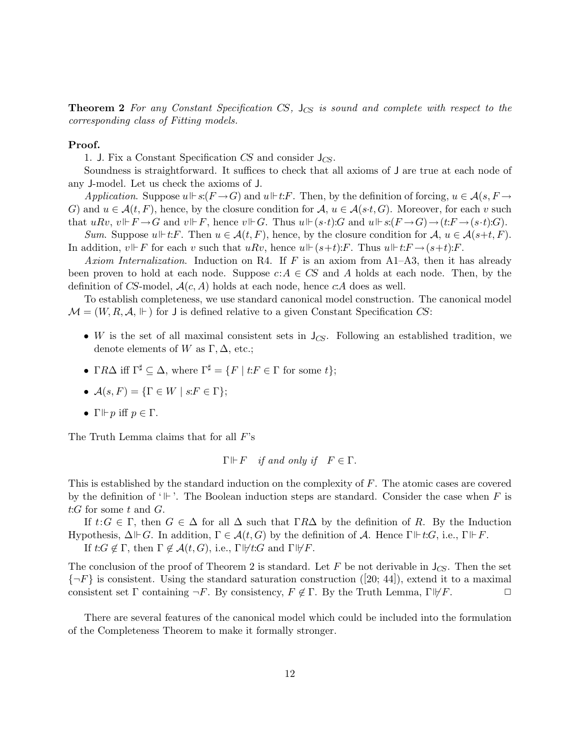**Theorem 2** For any Constant Specification CS,  $J_{CS}$  is sound and complete with respect to the corresponding class of Fitting models.

#### Proof.

1. J. Fix a Constant Specification CS and consider  $J_{CS}$ .

Soundness is straightforward. It suffices to check that all axioms of J are true at each node of any J-model. Let us check the axioms of J.

Application. Suppose  $u \Vdash s:(F \to G)$  and  $u \Vdash t:F$ . Then, by the definition of forcing,  $u \in \mathcal{A}(s, F \to G)$ G) and  $u \in \mathcal{A}(t, F)$ , hence, by the closure condition for  $\mathcal{A}, u \in \mathcal{A}(s.t, G)$ . Moreover, for each v such that  $uRv, v \Vdash F \to G$  and  $v \Vdash F$ , hence  $v \Vdash G$ . Thus  $u \Vdash (s \cdot t):G$  and  $u \Vdash s \cdot (F \to G) \to (t \cdot F \to (s \cdot t):G)$ .

Sum. Suppose  $u \Vdash t$ : Then  $u \in \mathcal{A}(t, F)$ , hence, by the closure condition for  $\mathcal{A}, u \in \mathcal{A}(s+t, F)$ . In addition,  $v \Vdash F$  for each v such that  $uRv$ , hence  $u \Vdash (s+t):F$ . Thus  $u \Vdash t:F \to (s+t):F$ .

Axiom Internalization. Induction on R4. If F is an axiom from  $A1-A3$ , then it has already been proven to hold at each node. Suppose  $c:A \in CS$  and A holds at each node. Then, by the definition of CS-model,  $A(c, A)$  holds at each node, hence c:A does as well.

To establish completeness, we use standard canonical model construction. The canonical model  $\mathcal{M} = (W, R, \mathcal{A}, \Vdash)$  for J is defined relative to a given Constant Specification CS:

- W is the set of all maximal consistent sets in  $J_{CS}$ . Following an established tradition, we denote elements of W as  $\Gamma, \Delta$ , etc.;
- ΓRΔ iff  $\Gamma^{\sharp} \subseteq \Delta$ , where  $\Gamma^{\sharp} = \{F \mid t: F \in \Gamma \text{ for some } t\};$
- $A(s, F) = \{ \Gamma \in W \mid s: F \in \Gamma \};$
- Γ $\Vdash p$  iff  $p \in \Gamma$ .

The Truth Lemma claims that for all F's

$$
\Gamma \Vdash F \quad \text{if and only if} \quad F \in \Gamma.
$$

This is established by the standard induction on the complexity of F. The atomic cases are covered by the definition of  $\vdash$ . The Boolean induction steps are standard. Consider the case when F is  $t:G$  for some t and  $G$ .

If  $t:G \in \Gamma$ , then  $G \in \Delta$  for all  $\Delta$  such that  $\Gamma R\Delta$  by the definition of R. By the Induction Hypothesis,  $\Delta \vdash G$ . In addition,  $\Gamma \in \mathcal{A}(t, G)$  by the definition of A. Hence  $\Gamma \vdash t:G$ , i.e.,  $\Gamma \vdash F$ . If  $t:G \notin \Gamma$ , then  $\Gamma \notin \mathcal{A}(t, G)$ , i.e.,  $\Gamma \not\Vdash t:G$  and  $\Gamma \not\Vdash F$ .

The conclusion of the proof of Theorem 2 is standard. Let F be not derivable in  $J_{CS}$ . Then the set  $\{\neg F\}$  is consistent. Using the standard saturation construction ([20; 44]), extend it to a maximal consistent set Γ containing  $\neg F$ . By consistency,  $F \notin \Gamma$ . By the Truth Lemma,  $\Gamma \not\vdash F$ .

There are several features of the canonical model which could be included into the formulation of the Completeness Theorem to make it formally stronger.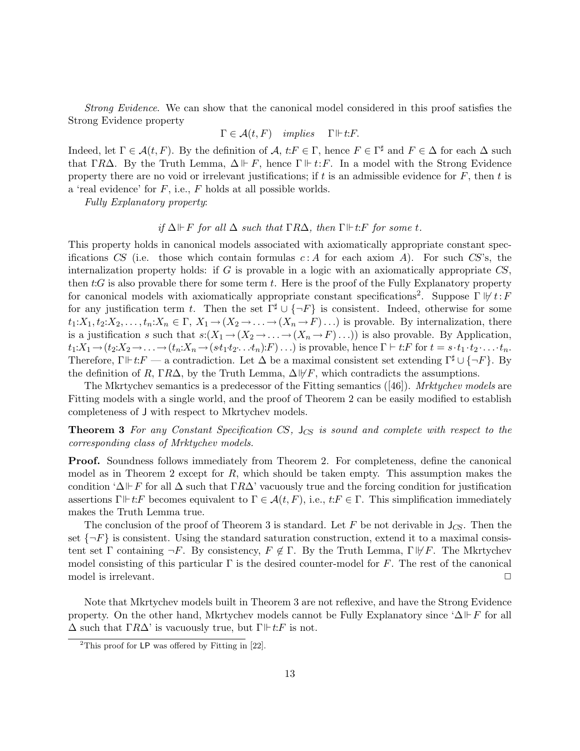Strong Evidence. We can show that the canonical model considered in this proof satisfies the Strong Evidence property

$$
\Gamma \in \mathcal{A}(t, F) \quad implies \quad \Gamma \Vdash t \colon F.
$$

Indeed, let  $\Gamma \in \mathcal{A}(t, F)$ . By the definition of  $\mathcal{A}, t: F \in \Gamma$ , hence  $F \in \Gamma^{\sharp}$  and  $F \in \Delta$  for each  $\Delta$  such that  $\Gamma R\Delta$ . By the Truth Lemma,  $\Delta \Vdash F$ , hence  $\Gamma \Vdash t$ : In a model with the Strong Evidence property there are no void or irrelevant justifications; if  $t$  is an admissible evidence for  $F$ , then  $t$  is a 'real evidence' for  $F$ , i.e.,  $F$  holds at all possible worlds.

Fully Explanatory property:

#### if  $\Delta \Vdash F$  for all  $\Delta$  such that  $\Gamma R\Delta$ , then  $\Gamma \Vdash t$ : F for some t.

This property holds in canonical models associated with axiomatically appropriate constant specifications CS (i.e. those which contain formulas  $c : A$  for each axiom A). For such CS's, the internalization property holds: if  $G$  is provable in a logic with an axiomatically appropriate  $CS$ , then  $t:G$  is also provable there for some term  $t$ . Here is the proof of the Fully Explanatory property for canonical models with axiomatically appropriate constant specifications<sup>2</sup>. Suppose  $\Gamma \not\vdash t: F$ for any justification term t. Then the set  $\Gamma^{\sharp} \cup \{\neg F\}$  is consistent. Indeed, otherwise for some  $t_1:X_1, t_2:X_2, \ldots, t_n:X_n \in \Gamma, X_1 \to (X_2 \to \ldots \to (X_n \to F) \ldots)$  is provable. By internalization, there is a justification s such that  $s:(X_1 \to (X_2 \to \ldots \to (X_n \to F)\ldots))$  is also provable. By Application,  $t_1:X_1\to(t_2:X_2\to\ldots\to(t_n:X_n\to(st_1t_2\ldots t_n):F)\ldots)$  is provable, hence  $\Gamma\vdash t:F$  for  $t=s\cdot t_1\cdot t_2\cdot\ldots\cdot t_n$ . Therefore,  $\Gamma \Vdash t \cdot F$  — a contradiction. Let  $\Delta$  be a maximal consistent set extending  $\Gamma^{\sharp} \cup \{\neg F\}$ . By the definition of R,  $\Gamma R\Delta$ , by the Truth Lemma,  $\Delta \psi F$ , which contradicts the assumptions.

The Mkrtychev semantics is a predecessor of the Fitting semantics  $(46)$ . Mrktychev models are Fitting models with a single world, and the proof of Theorem 2 can be easily modified to establish completeness of J with respect to Mkrtychev models.

**Theorem 3** For any Constant Specification CS,  $J_{CS}$  is sound and complete with respect to the corresponding class of Mrktychev models.

Proof. Soundness follows immediately from Theorem 2. For completeness, define the canonical model as in Theorem 2 except for  $R$ , which should be taken empty. This assumption makes the condition  $\Delta \vdash F$  for all  $\Delta$  such that  $\Gamma R\Delta'$  vacuously true and the forcing condition for justification assertions  $\Gamma \Vdash t$ : F becomes equivalent to  $\Gamma \in \mathcal{A}(t, F)$ , i.e.,  $t$ :  $F \in \Gamma$ . This simplification immediately makes the Truth Lemma true.

The conclusion of the proof of Theorem 3 is standard. Let F be not derivable in  $J_{CS}$ . Then the set  $\{\neg F\}$  is consistent. Using the standard saturation construction, extend it to a maximal consistent set Γ containing  $\neg F$ . By consistency,  $F \notin \Gamma$ . By the Truth Lemma, Γ $\not\vdash F$ . The Mkrtychev model consisting of this particular  $\Gamma$  is the desired counter-model for F. The rest of the canonical model is irrelevant.  $\Box$ 

Note that Mkrtychev models built in Theorem 3 are not reflexive, and have the Strong Evidence property. On the other hand, Mkrtychev models cannot be Fully Explanatory since  $\Delta \vdash F$  for all  $\Delta$  such that  $\Gamma R\Delta'$  is vacuously true, but  $\Gamma \Vdash t$ : F is not.

<sup>&</sup>lt;sup>2</sup>This proof for LP was offered by Fitting in [22].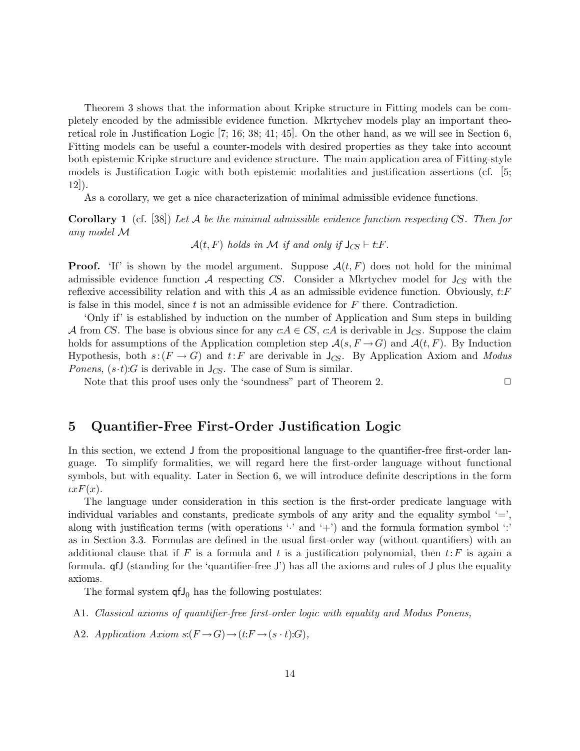Theorem 3 shows that the information about Kripke structure in Fitting models can be completely encoded by the admissible evidence function. Mkrtychev models play an important theoretical role in Justification Logic [7; 16; 38; 41; 45]. On the other hand, as we will see in Section 6, Fitting models can be useful a counter-models with desired properties as they take into account both epistemic Kripke structure and evidence structure. The main application area of Fitting-style models is Justification Logic with both epistemic modalities and justification assertions (cf. [5; 12]).

As a corollary, we get a nice characterization of minimal admissible evidence functions.

**Corollary 1** (cf. [38]) Let A be the minimal admissible evidence function respecting CS. Then for any model M

 $\mathcal{A}(t, F)$  holds in M if and only if  $J_{CS} \vdash t: F$ .

**Proof.** 'If' is shown by the model argument. Suppose  $\mathcal{A}(t, F)$  does not hold for the minimal admissible evidence function A respecting CS. Consider a Mkrtychev model for  $J_{CS}$  with the reflexive accessibility relation and with this  $A$  as an admissible evidence function. Obviously,  $t$ :  $F$ is false in this model, since t is not an admissible evidence for  $F$  there. Contradiction.

'Only if' is established by induction on the number of Application and Sum steps in building A from CS. The base is obvious since for any  $c:A \in CS$ ,  $c:A$  is derivable in  $J_{CS}$ . Suppose the claim holds for assumptions of the Application completion step  $\mathcal{A}(s, F \to G)$  and  $\mathcal{A}(t, F)$ . By Induction Hypothesis, both  $s:(F \to G)$  and  $t:F$  are derivable in  $J_{CS}$ . By Application Axiom and Modus *Ponens*,  $(s \cdot t)$ : G is derivable in  $J_{CS}$ . The case of Sum is similar.

Note that this proof uses only the 'soundness" part of Theorem 2.  $\Box$ 

5 Quantifier-Free First-Order Justification Logic

In this section, we extend J from the propositional language to the quantifier-free first-order language. To simplify formalities, we will regard here the first-order language without functional symbols, but with equality. Later in Section 6, we will introduce definite descriptions in the form  $\iota x F(x)$ .

The language under consideration in this section is the first-order predicate language with individual variables and constants, predicate symbols of any arity and the equality symbol  $\prime =$ ', along with justification terms (with operations  $\cdot$  and  $\cdot$  +  $\cdot$ ) and the formula formation symbol  $\cdot$ . as in Section 3.3. Formulas are defined in the usual first-order way (without quantifiers) with an additional clause that if F is a formula and t is a justification polynomial, then  $t$ : F is again a formula. qfJ (standing for the 'quantifier-free J') has all the axioms and rules of J plus the equality axioms.

The formal system  $qfJ_0$  has the following postulates:

- A1. Classical axioms of quantifier-free first-order logic with equality and Modus Ponens,
- A2. Application  $Axiom s:(F \to G) \to (t:F \to (s \cdot t):G),$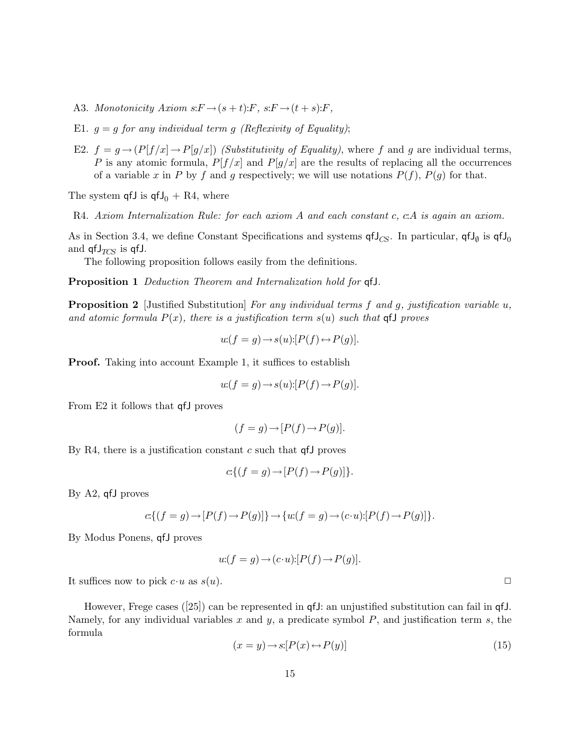- A3. Monotonicity Axiom  $s:F \rightarrow (s+t):F, s:F \rightarrow (t+s):F,$
- E1.  $g = g$  for any individual term g (Reflexivity of Equality);
- E2.  $f = g \rightarrow (P[f/x] \rightarrow P[g/x])$  (Substitutivity of Equality), where f and g are individual terms, P is any atomic formula,  $P[f/x]$  and  $P[g/x]$  are the results of replacing all the occurrences of a variable x in P by f and g respectively; we will use notations  $P(f)$ ,  $P(g)$  for that.

The system  $qfJ$  is  $qfJ$ <sub>0</sub> + R4, where

R4. Axiom Internalization Rule: for each axiom A and each constant c, c.A is again an axiom.

As in Section 3.4, we define Constant Specifications and systems  $\mathsf{qfJ}_{CS}$ . In particular,  $\mathsf{qfJ}_{\emptyset}$  is  $\mathsf{qfJ}_0$ and  $qfJ_{TCS}$  is qfJ.

The following proposition follows easily from the definitions.

Proposition 1 Deduction Theorem and Internalization hold for qfJ.

**Proposition 2** [Justified Substitution] For any individual terms f and g, justification variable  $u$ , and atomic formula  $P(x)$ , there is a justification term  $s(u)$  such that  $qfJ$  proves

$$
u(f = g) \rightarrow s(u): [P(f) \leftrightarrow P(g)].
$$

**Proof.** Taking into account Example 1, it suffices to establish

$$
u(f = g) \rightarrow s(u): [P(f) \rightarrow P(g)].
$$

From E2 it follows that qfJ proves

$$
(f = g) \rightarrow [P(f) \rightarrow P(g)].
$$

By R4, there is a justification constant  $c$  such that  $qf$  proves

$$
c\{(f = g) \rightarrow [P(f) \rightarrow P(g)]\}.
$$

By A2, qfJ proves

$$
c\!\!:\!\!\big\{(f=g)\!\rightarrow\! [P(f)\!\rightarrow\! P(g)]\big\}\!\rightarrow\! \{w\!\!:\!\! (f=g)\!\rightarrow\! (c\!\cdot\! u)\!\!:\!\! [P(f)\!\rightarrow\! P(g)]\}.
$$

By Modus Ponens, qfJ proves

$$
u(f = g) \rightarrow (c \cdot u): [P(f) \rightarrow P(g)].
$$

It suffices now to pick  $c \cdot u$  as  $s(u)$ .

However, Frege cases ([25]) can be represented in qfJ: an unjustified substitution can fail in qfJ. Namely, for any individual variables  $x$  and  $y$ , a predicate symbol  $P$ , and justification term  $s$ , the formula

$$
(x = y) \rightarrow s:[P(x) \leftrightarrow P(y)]
$$
\n(15)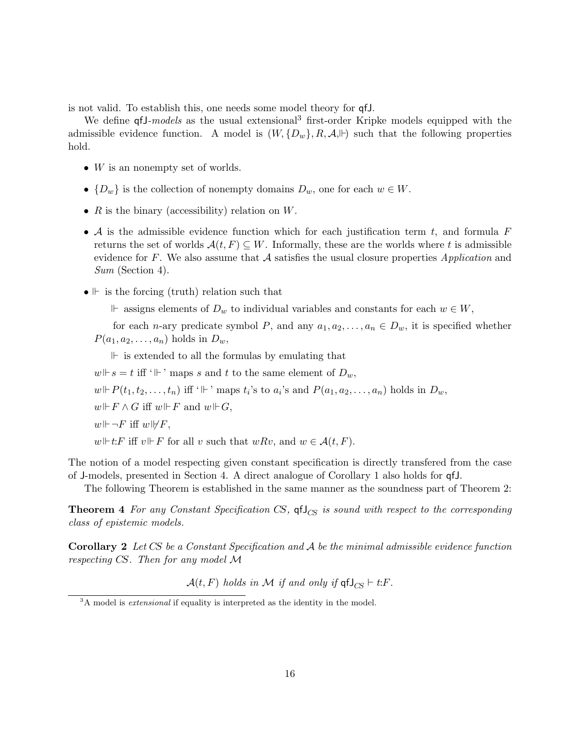is not valid. To establish this, one needs some model theory for qfJ.

We define qfJ-models as the usual extensional<sup>3</sup> first-order Kripke models equipped with the admissible evidence function. A model is  $(W, \{D_w\}, R, \mathcal{A}, \Vdash)$  such that the following properties hold.

- $W$  is an nonempty set of worlds.
- $\{D_w\}$  is the collection of nonempty domains  $D_w$ , one for each  $w \in W$ .
- $R$  is the binary (accessibility) relation on  $W$ .
- A is the admissible evidence function which for each justification term t, and formula  $F$ returns the set of worlds  $\mathcal{A}(t, F) \subseteq W$ . Informally, these are the worlds where t is admissible evidence for F. We also assume that  $\mathcal A$  satisfies the usual closure properties *Application* and Sum (Section 4).
- $\bullet \Vdash$  is the forcing (truth) relation such that
	- $\parallel$  assigns elements of  $D_w$  to individual variables and constants for each  $w \in W$ ,

for each n-ary predicate symbol P, and any  $a_1, a_2, \ldots, a_n \in D_w$ , it is specified whether  $P(a_1, a_2, \ldots, a_n)$  holds in  $D_w$ ,

 $\mathbb{I}$  is extended to all the formulas by emulating that

 $w \Vdash s = t$  iff ' $\Vdash$ ' maps s and t to the same element of  $D_w$ ,

 $w \Vdash P(t_1, t_2, \ldots, t_n)$  iff ' $\Vdash$ ' maps  $t_i$ 's to  $a_i$ 's and  $P(a_1, a_2, \ldots, a_n)$  holds in  $D_w$ ,

 $w \Vdash F \wedge G$  iff  $w \Vdash F$  and  $w \Vdash G$ ,

 $w \Vdash \neg F$  iff  $w \Vdash F$ ,

 $w \Vdash t$ : If  $v \Vdash F$  for all v such that  $w R v$ , and  $w \in \mathcal{A}(t, F)$ .

The notion of a model respecting given constant specification is directly transfered from the case of J-models, presented in Section 4. A direct analogue of Corollary 1 also holds for qfJ.

The following Theorem is established in the same manner as the soundness part of Theorem 2:

**Theorem 4** For any Constant Specification CS,  $\mathfrak{gl}_{CS}$  is sound with respect to the corresponding class of epistemic models.

Corollary 2 Let CS be a Constant Specification and A be the minimal admissible evidence function respecting CS. Then for any model M

 $\mathcal{A}(t, F)$  holds in M if and only if  $qf|_{CS} \vdash t:F$ .

 $3A$  model is *extensional* if equality is interpreted as the identity in the model.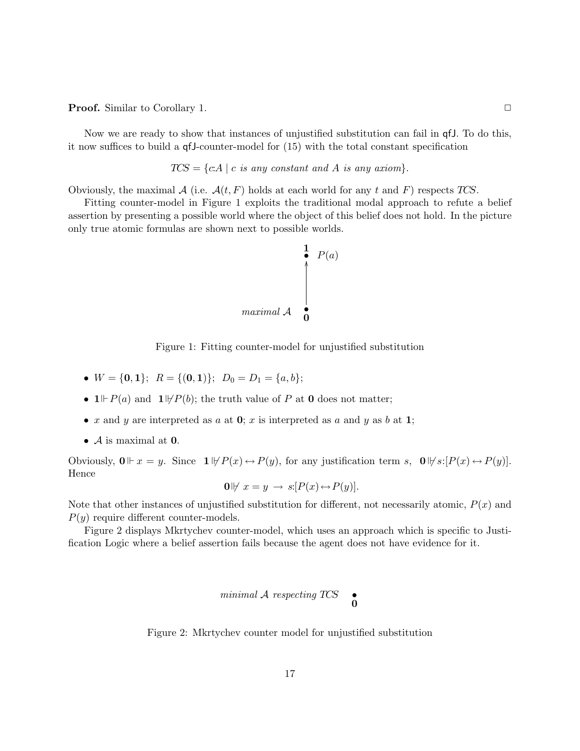**Proof.** Similar to Corollary 1. ◯

Now we are ready to show that instances of unjustified substitution can fail in qfJ. To do this, it now suffices to build a qfJ-counter-model for (15) with the total constant specification

$$
TCS = \{cA \mid c \text{ is any constant and } A \text{ is any axiom}\}.
$$

Obviously, the maximal A (i.e.  $\mathcal{A}(t, F)$  holds at each world for any t and F) respects TCS.

Fitting counter-model in Figure 1 exploits the traditional modal approach to refute a belief assertion by presenting a possible world where the object of this belief does not hold. In the picture only true atomic formulas are shown next to possible worlds.

$$
\begin{array}{c}\n\begin{array}{c}\n1 \\
\bullet \\
\bullet \\
\bullet \\
\bullet \\
\bullet\n\end{array}\n\end{array}
$$
\n
$$
\begin{array}{c}\n\bullet \\
\bullet \\
\bullet \\
\bullet \\
\bullet \\
\bullet\n\end{array}
$$
\n
$$
\begin{array}{c}\n\bullet \\
\bullet \\
\bullet \\
\bullet \\
\bullet\n\end{array}
$$

Figure 1: Fitting counter-model for unjustified substitution

- $W = \{0, 1\}; R = \{(0, 1)\}; D_0 = D_1 = \{a, b\};$
- $1 \Vdash P(a)$  and  $1 \Vdash P(b)$ ; the truth value of P at 0 does not matter;
- x and y are interpreted as a at 0; x is interpreted as a and y as b at 1;
- $\mathcal A$  is maximal at 0.

Obviously,  $\mathbf{0} \Vdash x = y$ . Since  $\mathbf{1} \Vdash P(x) \leftrightarrow P(y)$ , for any justification term s,  $\mathbf{0} \Vdash s: [P(x) \leftrightarrow P(y)]$ . Hence

$$
0 \,\forall x = y \rightarrow s: [P(x) \leftrightarrow P(y)].
$$

Note that other instances of unjustified substitution for different, not necessarily atomic,  $P(x)$  and  $P(y)$  require different counter-models.

Figure 2 displays Mkrtychev counter-model, which uses an approach which is specific to Justification Logic where a belief assertion fails because the agent does not have evidence for it.

$$
minimal \mathcal{A} \, \, respectively \, \begin{array}{cc} \text{ } & \bullet \\ \text{ } & 0 \end{array}
$$

Figure 2: Mkrtychev counter model for unjustified substitution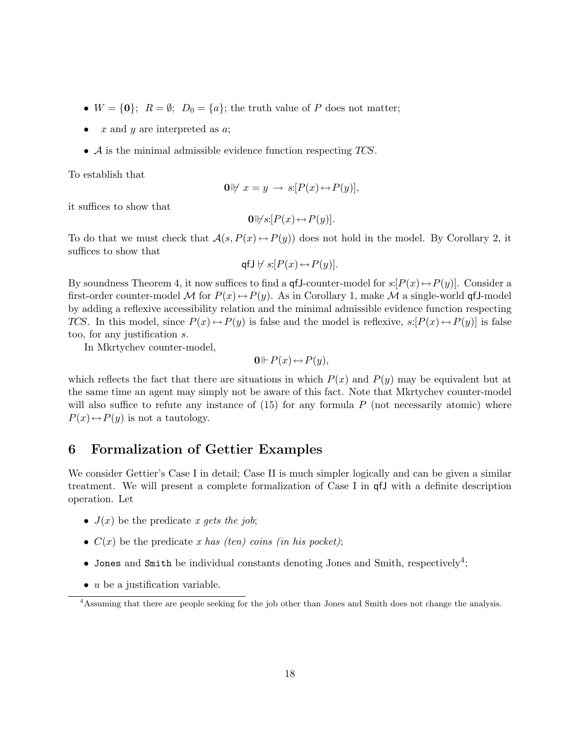- $W = \{0\}; R = \emptyset; D_0 = \{a\};$  the truth value of P does not matter;
- $x$  and  $y$  are interpreted as  $a$ ;
- $\mathcal A$  is the minimal admissible evidence function respecting TCS.

To establish that

$$
0 \,\forall x = y \rightarrow s: [P(x) \leftrightarrow P(y)],
$$

it suffices to show that

$$
\mathbf{0} \, \mathbf{B}[F(x) \leftrightarrow F(y)].
$$

To do that we must check that  $A(s, P(x) \leftrightarrow P(y))$  does not hold in the model. By Corollary 2, it suffices to show that

$$
\mathsf{qfJ} \not\vdash s:[P(x) \!\leftrightarrow\! P(y)].
$$

By soundness Theorem 4, it now suffices to find a qfJ-counter-model for  $s:[P(x) \leftrightarrow P(y)]$ . Consider a first-order counter-model M for  $P(x) \leftrightarrow P(y)$ . As in Corollary 1, make M a single-world qfJ-model by adding a reflexive accessibility relation and the minimal admissible evidence function respecting TCS. In this model, since  $P(x) \leftrightarrow P(y)$  is false and the model is reflexive,  $s:[P(x) \leftrightarrow P(y)]$  is false too, for any justification s.

In Mkrtychev counter-model,

$$
\mathbf{0} \Vdash P(x) \leftrightarrow P(y),
$$

which reflects the fact that there are situations in which  $P(x)$  and  $P(y)$  may be equivalent but at the same time an agent may simply not be aware of this fact. Note that Mkrtychev counter-model will also suffice to refute any instance of  $(15)$  for any formula P (not necessarily atomic) where  $P(x) \leftrightarrow P(y)$  is not a tautology.

### 6 Formalization of Gettier Examples

We consider Gettier's Case I in detail; Case II is much simpler logically and can be given a similar treatment. We will present a complete formalization of Case I in qfJ with a definite description operation. Let

- $J(x)$  be the predicate x gets the job;
- $C(x)$  be the predicate x has (ten) coins (in his pocket);
- Jones and Smith be individual constants denoting Jones and Smith, respectively<sup>4</sup>;
- $\bullet$  *u* be a justification variable.

<sup>4</sup>Assuming that there are people seeking for the job other than Jones and Smith does not change the analysis.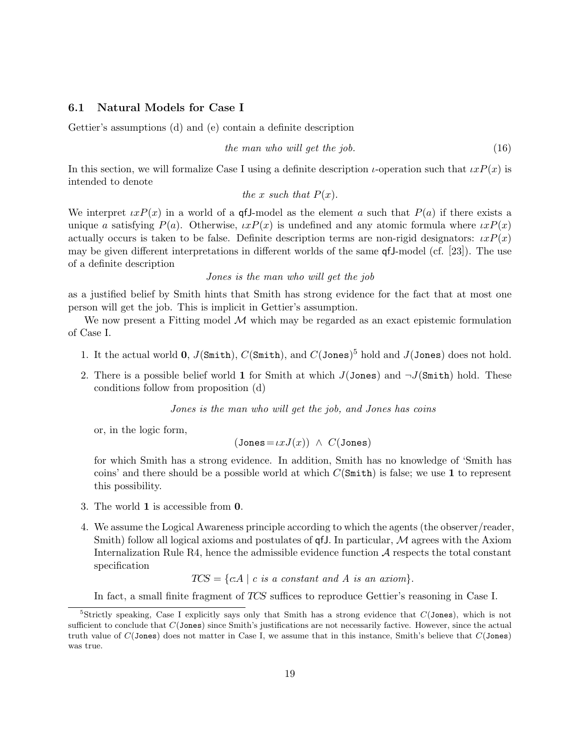#### 6.1 Natural Models for Case I

Gettier's assumptions (d) and (e) contain a definite description

the man who will get the job. 
$$
(16)
$$

In this section, we will formalize Case I using a definite description *ι*-operation such that  $\iota xP(x)$  is intended to denote

the x such that  $P(x)$ .

We interpret  $\iota x P(x)$  in a world of a qfJ-model as the element a such that  $P(a)$  if there exists a unique a satisfying  $P(a)$ . Otherwise,  $\iota x P(x)$  is undefined and any atomic formula where  $\iota x P(x)$ actually occurs is taken to be false. Definite description terms are non-rigid designators:  $\iota x P(x)$ may be given different interpretations in different worlds of the same qfJ-model (cf. [23]). The use of a definite description

Jones is the man who will get the job

as a justified belief by Smith hints that Smith has strong evidence for the fact that at most one person will get the job. This is implicit in Gettier's assumption.

We now present a Fitting model  $M$  which may be regarded as an exact epistemic formulation of Case I.

- 1. It the actual world  $0$ ,  $J(\text{Smith})$ ,  $C(\text{Smith})$ , and  $C(\text{Jones})^5$  hold and  $J(\text{Jones})$  does not hold.
- 2. There is a possible belief world 1 for Smith at which  $J(\text{Jones})$  and  $\neg J(\text{Smith})$  hold. These conditions follow from proposition (d)

Jones is the man who will get the job, and Jones has coins

or, in the logic form,

$$
(\texttt{Jones} = \iota x J(x)) \ \land \ C(\texttt{Jones})
$$

for which Smith has a strong evidence. In addition, Smith has no knowledge of 'Smith has coins' and there should be a possible world at which  $C(\text{Smith})$  is false; we use 1 to represent this possibility.

- 3. The world 1 is accessible from 0.
- 4. We assume the Logical Awareness principle according to which the agents (the observer/reader, Smith) follow all logical axioms and postulates of  $\mathfrak{af}J$ . In particular, M agrees with the Axiom Internalization Rule R4, hence the admissible evidence function  $A$  respects the total constant specification

 $TCS = \{cA \mid c \text{ is a constant and } A \text{ is an axiom}\}.$ 

In fact, a small finite fragment of TCS suffices to reproduce Gettier's reasoning in Case I.

 $5$ Strictly speaking, Case I explicitly says only that Smith has a strong evidence that  $C(\text{Jones})$ , which is not sufficient to conclude that  $C(\text{Jones})$  since Smith's justifications are not necessarily factive. However, since the actual truth value of  $C(\text{Jones})$  does not matter in Case I, we assume that in this instance, Smith's believe that  $C(\text{Jones})$ was true.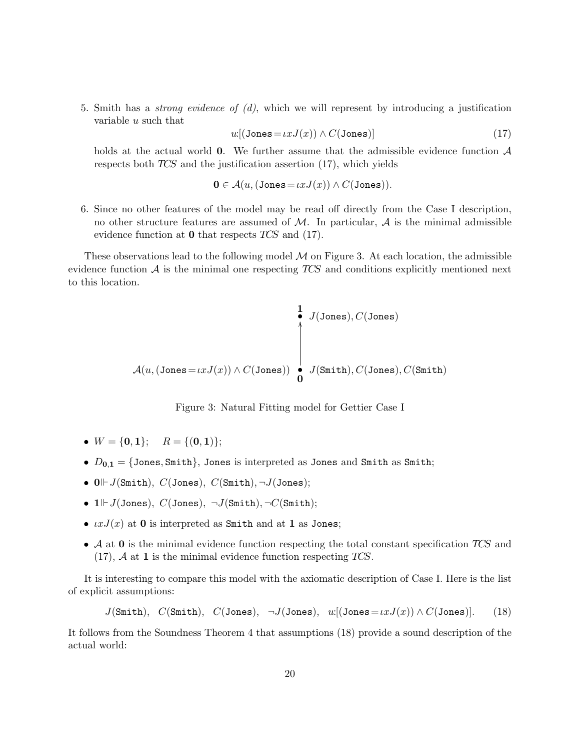5. Smith has a *strong evidence of (d)*, which we will represent by introducing a justification variable u such that

$$
u:[(\text{Jones} = \iota x J(x)) \land C(\text{Jones})]
$$
\n(17)

holds at the actual world  $0$ . We further assume that the admissible evidence function  $A$ respects both TCS and the justification assertion (17), which yields

$$
\mathbf{0} \in \mathcal{A}(u, (\text{Jones} = \iota x J(x)) \land C(\text{Jones})).
$$

6. Since no other features of the model may be read off directly from the Case I description, no other structure features are assumed of  $M$ . In particular,  $A$  is the minimal admissible evidence function at **0** that respects TCS and (17).

These observations lead to the following model  $\mathcal M$  on Figure 3. At each location, the admissible evidence function  $A$  is the minimal one respecting TCS and conditions explicitly mentioned next to this location.

$$
\begin{array}{c|c} \multicolumn{1}{c}{\textbf{1}} & J(\text{Jones}), C(\text{Jones}) \\ & \multicolumn{1}{c}{\textbf{1}} & J(\text{Jones}), C(\text{Jones}) \\ \hline \\ \multicolumn{1}{c}{\textbf{1}} & J(\text{Jones}), C(\text{Jones}), C(\text{Smith}) \\ \multicolumn{1}{c}{\textbf{2}} & J(\text{Smith}), C(\text{Jones}), C(\text{Smith}) \end{array}
$$

Figure 3: Natural Fitting model for Gettier Case I

- $W = \{0, 1\}; \quad R = \{(0, 1)\};$
- $D_{0,1} = \{\text{Jones}, \text{Smith}\},$  Jones is interpreted as Jones and Smith as Smith;
- $0 \Vdash J(\text{Smith}), C(\text{Jones}), C(\text{Smith}), \neg J(\text{Jones});$
- $1 \Vdash J(\text{Jones}), C(\text{Jones}), \neg J(\text{Smith}), \neg C(\text{Smith});$
- $\iota x J(x)$  at 0 is interpreted as Smith and at 1 as Jones;
- A at 0 is the minimal evidence function respecting the total constant specification  $TCS$  and  $(17)$ , A at 1 is the minimal evidence function respecting TCS.

It is interesting to compare this model with the axiomatic description of Case I. Here is the list of explicit assumptions:

$$
J(\text{Smith}), C(\text{Smith}), C(\text{Jones}), \neg J(\text{Jones}), u:[(\text{Jones} = \iota x J(x)) \land C(\text{Jones})]. \tag{18}
$$

It follows from the Soundness Theorem 4 that assumptions (18) provide a sound description of the actual world: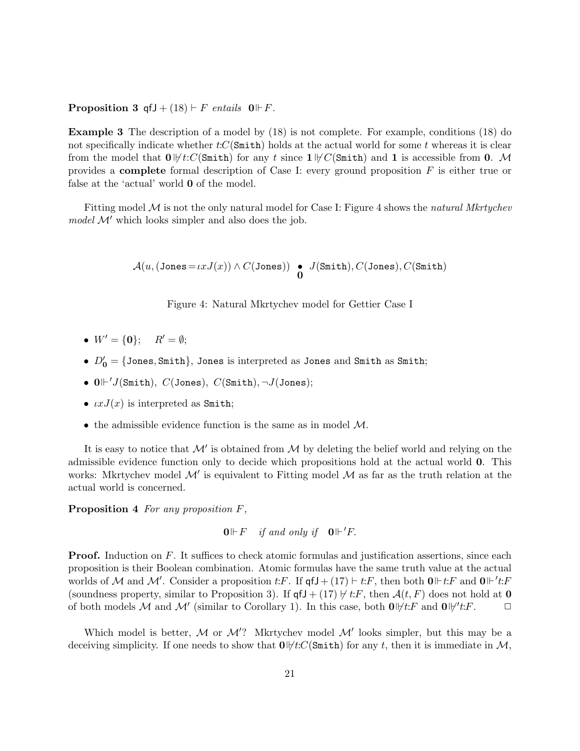**Proposition 3 qfJ** + (18)  $\vdash$  F entails 0  $\vdash$  F.

Example 3 The description of a model by (18) is not complete. For example, conditions (18) do not specifically indicate whether  $t:C(\text{Smith})$  holds at the actual world for some t whereas it is clear from the model that  $0 \mid \forall t$ :C(Smith) for any t since  $1 \mid \forall C$ (Smith) and 1 is accessible from 0. M provides a **complete** formal description of Case I: every ground proposition  $F$  is either true or false at the 'actual' world 0 of the model.

Fitting model  $M$  is not the only natural model for Case I: Figure 4 shows the natural Mkrtychev model  $\mathcal{M}'$  which looks simpler and also does the job.

$$
\mathcal{A}(u, (\text{Jones} = \iota x J(x)) \land C(\text{Jones})) \underset{\textbf{0}}{\bullet} \ J(\text{Smith}), C(\text{Jones}), C(\text{Smith})
$$

Figure 4: Natural Mkrtychev model for Gettier Case I

- $W' = \{0\};$   $R' = \emptyset;$
- $D_0' = \{\text{Jones}, \text{Smith}\},$  Jones is interpreted as Jones and Smith as Smith;
- $\bullet$  0<sup>||-</sup>' $J(\texttt{Smith}), C(\texttt{Jones}), C(\texttt{Smith}), \neg J(\texttt{Jones});$
- $\iota x J(x)$  is interpreted as Smith;
- $\bullet$  the admissible evidence function is the same as in model  $\mathcal{M}$ .

It is easy to notice that  $\mathcal{M}'$  is obtained from  $\mathcal M$  by deleting the belief world and relying on the admissible evidence function only to decide which propositions hold at the actual world 0. This works: Mkrtychev model  $\mathcal{M}'$  is equivalent to Fitting model  $\mathcal M$  as far as the truth relation at the actual world is concerned.

Proposition 4 For any proposition F,

 $\mathbf{0} \Vdash F$  if and only if  $\mathbf{0} \Vdash' F$ .

**Proof.** Induction on F. It suffices to check atomic formulas and justification assertions, since each proposition is their Boolean combination. Atomic formulas have the same truth value at the actual worlds of M and M'. Consider a proposition t:F. If  $qfJ + (17) \vdash t$ :F, then both  $0 \Vdash t$ :F and  $0 \Vdash 't$ :F (soundness property, similar to Proposition 3). If  $\mathsf{qfJ} + (17) \not\vdash t:F$ , then  $\mathcal{A}(t, F)$  does not hold at 0 of both models M and M' (similar to Corollary 1). In this case, both  $\mathbf{0} \parallel \forall t: F$  and  $\mathbf{0} \parallel \forall' t: F$ .

Which model is better,  $M$  or  $M'$ ? Mkrtychev model  $M'$  looks simpler, but this may be a deceiving simplicity. If one needs to show that  $\mathbf{0} \notin \mathcal{C}(\mathsf{Smith})$  for any t, then it is immediate in  $\mathcal{M}$ ,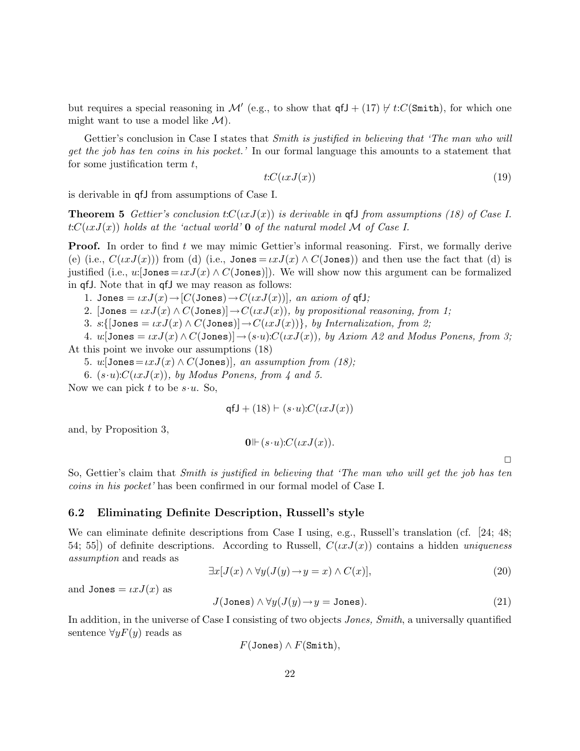but requires a special reasoning in M' (e.g., to show that  $qJ + (17) \not\vdash t:C(\text{Smith})$ , for which one might want to use a model like  $\mathcal{M}$ ).

Gettier's conclusion in Case I states that Smith is justified in believing that 'The man who will get the job has ten coins in his pocket.' In our formal language this amounts to a statement that for some justification term  $t$ ,

$$
t:C(\iota xJ(x))\tag{19}
$$

is derivable in qfJ from assumptions of Case I.

**Theorem 5** Gettier's conclusion t: $C(\iota x J(x))$  is derivable in qfJ from assumptions (18) of Case I.  $t:C(\iota xJ(x))$  holds at the 'actual world' **0** of the natural model M of Case I.

**Proof.** In order to find t we may mimic Gettier's informal reasoning. First, we formally derive (e) (i.e.,  $C(\iota xJ(x))$  from (d) (i.e., Jones =  $\iota xJ(x) \wedge C(\text{Jones})$  and then use the fact that (d) is justified (i.e.,  $u:[\text{Jones}=\iota xJ(x) \wedge C(\text{Jones})]$ ). We will show now this argument can be formalized in qfJ. Note that in qfJ we may reason as follows:

1. Jones =  $\iota xJ(x) \rightarrow [C(\text{Jones}) \rightarrow C(\iota xJ(x))]$ , an axiom of qfJ;

2. [Jones =  $\iota xJ(x) \wedge C(\text{Jones}) \rightarrow C(\iota xJ(x)),$  by propositional reasoning, from 1;

3. s: $\{[\text{Jones} = \iota x J(x) \wedge C(\text{Jones})] \rightarrow C(\iota x J(x))\},$  by Internalization, from 2;

4. u: Jones =  $\iota x J(x) \wedge C(\text{Jones}) \rightarrow (s \cdot u) : C(\iota x J(x)),$  by Axiom A2 and Modus Ponens, from 3; At this point we invoke our assumptions (18)

5. u:[Jones= $\iota xJ(x) \wedge C$ (Jones)], an assumption from (18);

6.  $(s \cdot u)$ : $C(\iota x J(x))$ , by Modus Ponens, from 4 and 5.

Now we can pick t to be  $s \cdot u$ . So,

$$
\mathsf{qfJ} + (18) \vdash (s \!\cdot\! u) \text{:}C(\iota x J(x))
$$

and, by Proposition 3,

$$
\mathbf{0} \mathbin{\vDash} (s \cdot u) \mathpunct{:} C(\iota x J(x)).
$$

 $\Box$ 

So, Gettier's claim that Smith is justified in believing that 'The man who will get the job has ten coins in his pocket' has been confirmed in our formal model of Case I.

#### 6.2 Eliminating Definite Description, Russell's style

We can eliminate definite descriptions from Case I using, e.g., Russell's translation (cf. [24; 48; 54; 55) of definite descriptions. According to Russell,  $C(1 \text{ or } 1 \text{ or } 2)$  contains a hidden *uniqueness* assumption and reads as

$$
\exists x [J(x) \land \forall y (J(y) \to y = x) \land C(x)], \tag{20}
$$

and Jones =  $\iota x J(x)$  as

$$
J(\text{Jones}) \land \forall y (J(y) \to y = \text{Jones}).\tag{21}
$$

In addition, in the universe of Case I consisting of two objects Jones, Smith, a universally quantified sentence  $\forall y F(y)$  reads as

 $F(\text{Jones}) \wedge F(\text{Smith})$ ,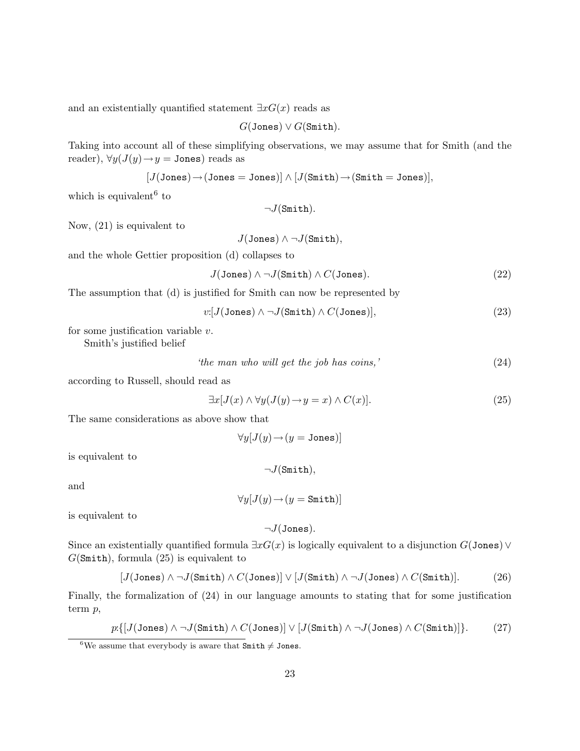and an existentially quantified statement  $\exists xG(x)$  reads as

$$
G(\text{Jones}) \vee G(\text{Smith}).
$$

Taking into account all of these simplifying observations, we may assume that for Smith (and the reader),  $\forall y(J(y) \rightarrow y = \text{Jones})$  reads as

$$
[J(\texttt{Jones})\!\rightarrow\!(\texttt{Jones}=\texttt{Jones})]\wedge [J(\texttt{Smith})\!\rightarrow\!(\texttt{Smith}=\texttt{Jones})],
$$

which is equivalent<sup>6</sup> to

$$
\neg J(\mathtt{Smith}).
$$

Now, (21) is equivalent to

 $J(\text{Jones}) \wedge \neg J(\text{Smith})$ ,

and the whole Gettier proposition (d) collapses to

$$
J(\text{Jones}) \land \neg J(\text{Smith}) \land C(\text{Jones}). \tag{22}
$$

The assumption that (d) is justified for Smith can now be represented by

$$
v:[J(\text{Jones}) \land \neg J(\text{Smith}) \land C(\text{Jones})],\tag{23}
$$

for some justification variable  $v$ .

Smith's justified belief

$$
the man who will get the job has coins,\tag{24}
$$

according to Russell, should read as

$$
\exists x [J(x) \land \forall y (J(y) \to y = x) \land C(x)]. \tag{25}
$$

The same considerations as above show that

$$
\forall y[J(y) \rightarrow (y = \text{Jones})]
$$

is equivalent to

$$
\neg J(\mathtt{Smith}),
$$

and

$$
\forall y[J(y) \rightarrow (y = \mathtt{Smith})]
$$

is equivalent to

$$
\neg J(\mathtt{Jones}).
$$

Since an existentially quantified formula  $\exists xG(x)$  is logically equivalent to a disjunction  $G(\text{Jones}) \vee$  $G(\text{Smith})$ , formula  $(25)$  is equivalent to

$$
[J(\text{Jones}) \land \neg J(\text{Smith}) \land C(\text{Jones})] \lor [J(\text{Smith}) \land \neg J(\text{Jones}) \land C(\text{Smith})]. \tag{26}
$$

Finally, the formalization of (24) in our language amounts to stating that for some justification term p,

$$
p:\{[J(\text{Jones}) \land \neg J(\text{Smith}) \land C(\text{Jones})] \lor [J(\text{Smith}) \land \neg J(\text{Jones}) \land C(\text{Smith})]\}.
$$
 (27)

<sup>&</sup>lt;sup>6</sup>We assume that everybody is aware that  $\texttt{Smith} \neq \texttt{Jones}.$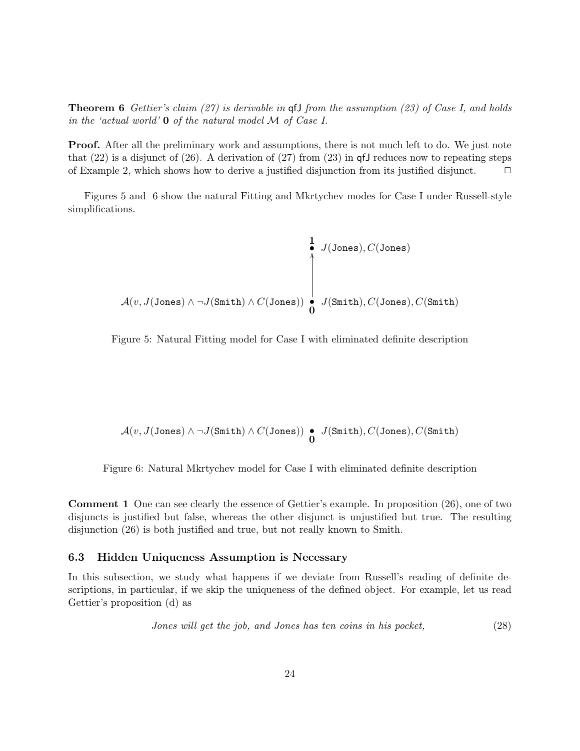**Theorem 6** Gettier's claim (27) is derivable in  $\mathsf{qfJ}$  from the assumption (23) of Case I, and holds in the 'actual world'  $\mathbf 0$  of the natural model  $\mathcal M$  of Case I.

**Proof.** After all the preliminary work and assumptions, there is not much left to do. We just note that  $(22)$  is a disjunct of  $(26)$ . A derivation of  $(27)$  from  $(23)$  in qfJ reduces now to repeating steps of Example 2, which shows how to derive a justified disjunction from its justified disjunct.  $\Box$ 

Figures 5 and 6 show the natural Fitting and Mkrtychev modes for Case I under Russell-style simplifications.

$$
\begin{array}{c|c} \mathbf{1} & J(\text{Jones}), C(\text{Jones}) \\ \hline \end{array}
$$
  
 
$$
\mathcal{A}(v, J(\text{Jones}) \land \neg J(\text{Smith}) \land C(\text{Jones})) \begin{array}{c} \mathbf{1} \\ \mathbf{0} \end{array} J(\text{Smith}), C(\text{Jones}), C(\text{Smith})
$$

Figure 5: Natural Fitting model for Case I with eliminated definite description

$$
\mathcal{A}(v, J(\text{Jones}) \land \neg J(\text{Smith}) \land C(\text{Jones})) \begin{array}{c} \bullet \\ 0 \end{array} J(\text{Smith}), C(\text{Jones}), C(\text{Smith})
$$

Figure 6: Natural Mkrtychev model for Case I with eliminated definite description

Comment 1 One can see clearly the essence of Gettier's example. In proposition (26), one of two disjuncts is justified but false, whereas the other disjunct is unjustified but true. The resulting disjunction (26) is both justified and true, but not really known to Smith.

#### 6.3 Hidden Uniqueness Assumption is Necessary

In this subsection, we study what happens if we deviate from Russell's reading of definite descriptions, in particular, if we skip the uniqueness of the defined object. For example, let us read Gettier's proposition (d) as

Jones will get the job, and Jones has ten coins in his pocket, (28)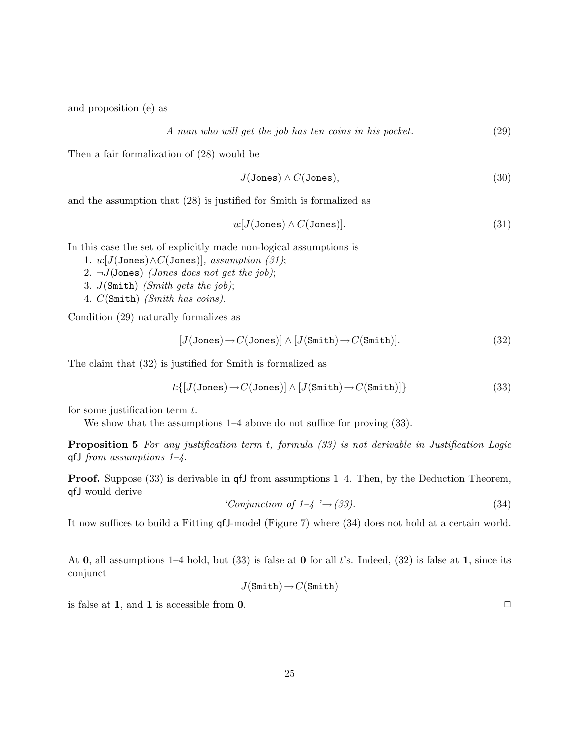and proposition (e) as

$$
A man who will get the job has ten coins in his pocket. \tag{29}
$$

Then a fair formalization of (28) would be

$$
J(\text{Jones}) \land C(\text{Jones}),\tag{30}
$$

and the assumption that (28) is justified for Smith is formalized as

$$
w[J(\text{Jones}) \wedge C(\text{Jones})]. \tag{31}
$$

In this case the set of explicitly made non-logical assumptions is

1.  $u:[J(\text{Jones}) \wedge C(\text{Jones})],$  assumption (31);

2.  $\neg J(\text{Jones})$  (Jones does not get the job);

3.  $J(\text{Smith})$  (Smith gets the job);

4. C(Smith) (Smith has coins).

Condition (29) naturally formalizes as

$$
[J(\text{Jones}) \to C(\text{Jones})] \land [J(\text{Smith}) \to C(\text{Smith})]. \tag{32}
$$

The claim that (32) is justified for Smith is formalized as

$$
t:\{[J(\text{Jones}) \to C(\text{Jones})] \land [J(\text{Smith}) \to C(\text{Smith})]\}\tag{33}
$$

for some justification term  $t$ .

We show that the assumptions  $1-4$  above do not suffice for proving  $(33)$ .

**Proposition 5** For any justification term t, formula (33) is not derivable in Justification Logic qfJ from assumptions  $1-\frac{1}{4}$ .

Proof. Suppose (33) is derivable in qfJ from assumptions 1–4. Then, by the Deduction Theorem, qfJ would derive

 $^{\circ}Conjunction of 1-4 \rightarrow (33).$  (34)

It now suffices to build a Fitting qfJ-model (Figure 7) where (34) does not hold at a certain world.

At  $0$ , all assumptions 1–4 hold, but (33) is false at  $0$  for all t's. Indeed, (32) is false at 1, since its conjunct

$$
J(\mathtt{Smith})\!\to\!C(\mathtt{Smith})
$$

is false at 1, and 1 is accessible from  $\mathbf{0}$ .  $\Box$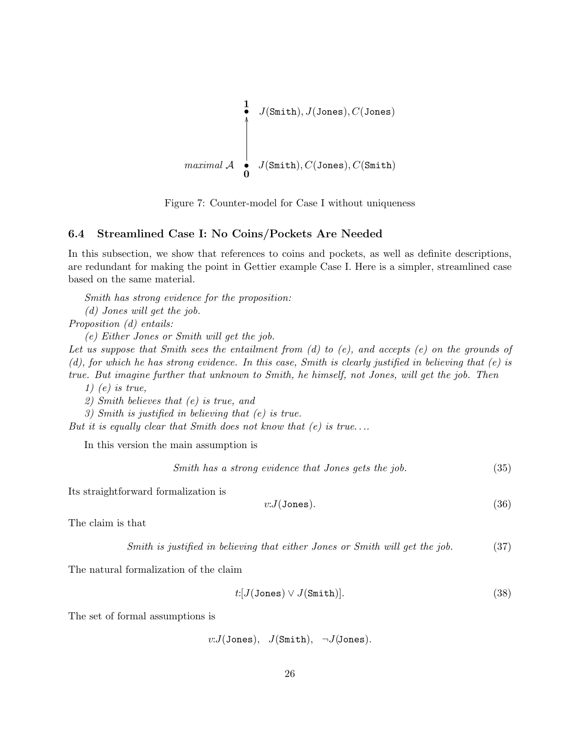$$
\begin{array}{c}\n\begin{array}{c}\n\bullet \\
\bullet \\
\bullet \\
\end{array}\n\end{array}\nJ(\text{Smith}), J(\text{Jones}), C(\text{Jones}) \\
\begin{array}{c}\n\bullet \\
\bullet \\
J(\text{Smith}), C(\text{Jones}), C(\text{Smith})\n\end{array}
$$

Figure 7: Counter-model for Case I without uniqueness

### 6.4 Streamlined Case I: No Coins/Pockets Are Needed

In this subsection, we show that references to coins and pockets, as well as definite descriptions, are redundant for making the point in Gettier example Case I. Here is a simpler, streamlined case based on the same material.

Smith has strong evidence for the proposition: (d) Jones will get the job.

Proposition (d) entails:

(e) Either Jones or Smith will get the job.

Let us suppose that Smith sees the entailment from  $(d)$  to  $(e)$ , and accepts  $(e)$  on the grounds of  $(d)$ , for which he has strong evidence. In this case, Smith is clearly justified in believing that  $(e)$  is true. But imagine further that unknown to Smith, he himself, not Jones, will get the job. Then

1) (e) is true,

2) Smith believes that (e) is true, and

3) Smith is justified in believing that (e) is true.

But it is equally clear that Smith does not know that  $(e)$  is true....

In this version the main assumption is

Smith has a strong evidence that Jones gets the job. 
$$
(35)
$$

Its straightforward formalization is

$$
v:J(\text{Jones}).\tag{36}
$$

The claim is that

Smith is justified in believing that either Jones or Smith will get the job.  $(37)$ 

The natural formalization of the claim

$$
t:[J(\text{Jones}) \vee J(\text{Smith})].\tag{38}
$$

The set of formal assumptions is

$$
v:J(\text{Jones}), J(\text{Smith}), \neg J(\text{Jones}).
$$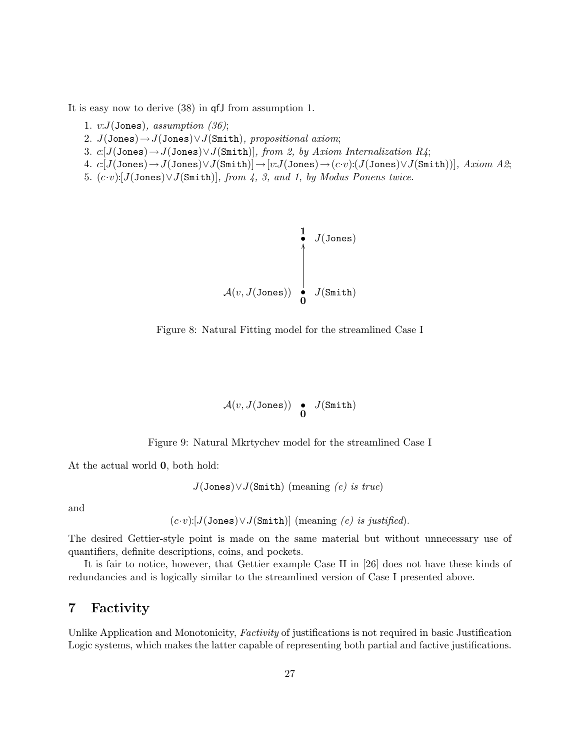It is easy now to derive (38) in qfJ from assumption 1.

- 1.  $v:J(\text{Jones})$ , assumption (36);
- 2.  $J(\text{Jones}) \rightarrow J(\text{Jones}) \vee J(\text{Smith})$ , propositional axiom;
- 3. c:[J(Jones)→J(Jones) $\vee J(\text{Smith})$ ], from 2, by Axiom Internalization R4;
- 4.  $c[J(\text{Jones}) \rightarrow J(\text{Jones}) \vee J(\text{Smith})] \rightarrow [v:J(\text{Jones}) \rightarrow (c \cdot v): (J(\text{Jones}) \vee J(\text{Smith}))],$  Axiom A2;
- 5.  $(c \cdot v) : [J(\text{Jones}) \vee J(\text{Smith})]$ , from 4, 3, and 1, by Modus Ponens twice.

$$
\begin{array}{c}\n1 \\
J(\text{Jones}) \\
\uparrow \\
\downarrow \\
J(\text{Smith}) \\
\downarrow \\
0\n\end{array}
$$

Figure 8: Natural Fitting model for the streamlined Case I

$$
\mathcal{A}(v, J(\text{Jones})) \quad \bullet \quad J(\text{Smith}) \\ \quad 0
$$

Figure 9: Natural Mkrtychev model for the streamlined Case I

At the actual world 0, both hold:

$$
J(\texttt{Jones}) \vee J(\texttt{Smith}) \text{ (meaning } (e) \text{ is true})
$$

and

$$
(c \cdot v)
$$
: [J(Jones)  $\vee$  J(Smith)] (meaning (e) is justified).

The desired Gettier-style point is made on the same material but without unnecessary use of quantifiers, definite descriptions, coins, and pockets.

It is fair to notice, however, that Gettier example Case II in [26] does not have these kinds of redundancies and is logically similar to the streamlined version of Case I presented above.

### 7 Factivity

Unlike Application and Monotonicity, *Factivity* of justifications is not required in basic Justification Logic systems, which makes the latter capable of representing both partial and factive justifications.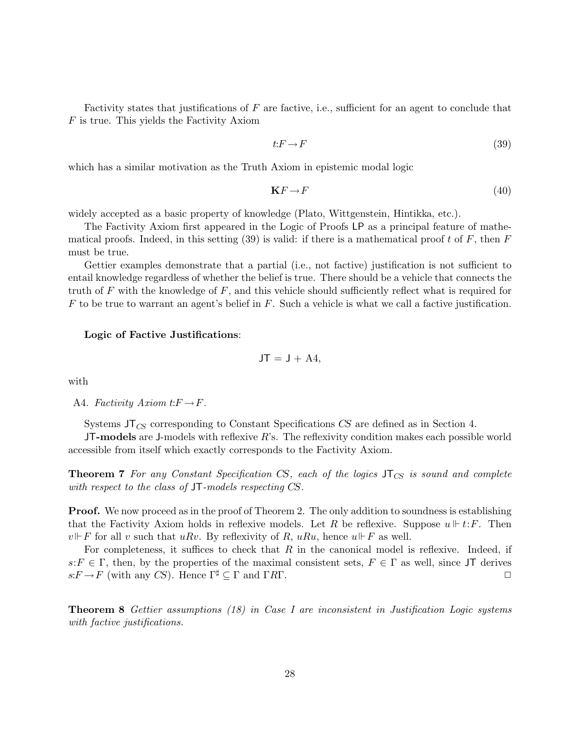Factivity states that justifications of F are factive, i.e., sufficient for an agent to conclude that  $F$  is true. This yields the Factivity Axiom

$$
t: F \to F \tag{39}
$$

which has a similar motivation as the Truth Axiom in epistemic modal logic

$$
\mathbf{K}F \to F \tag{40}
$$

widely accepted as a basic property of knowledge (Plato, Wittgenstein, Hintikka, etc.).

The Factivity Axiom first appeared in the Logic of Proofs LP as a principal feature of mathematical proofs. Indeed, in this setting  $(39)$  is valid: if there is a mathematical proof t of F, then F must be true.

Gettier examples demonstrate that a partial (i.e., not factive) justification is not sufficient to entail knowledge regardless of whether the belief is true. There should be a vehicle that connects the truth of  $F$  with the knowledge of  $F$ , and this vehicle should sufficiently reflect what is required for  $F$  to be true to warrant an agent's belief in  $F$ . Such a vehicle is what we call a factive justification.

#### Logic of Factive Justifications:

$$
JT = J + A4,
$$

with

A4. Factivity Axiom  $t: F \to F$ .

Systems  $JT_{CS}$  corresponding to Constant Specifications CS are defined as in Section 4.

**JT-models** are **J**-models with reflexive R's. The reflexivity condition makes each possible world accessible from itself which exactly corresponds to the Factivity Axiom.

**Theorem 7** For any Constant Specification CS, each of the logics  $JT_{CS}$  is sound and complete with respect to the class of JT-models respecting CS.

**Proof.** We now proceed as in the proof of Theorem 2. The only addition to soundness is establishing that the Factivity Axiom holds in reflexive models. Let R be reflexive. Suppose  $u \Vdash t$ : F. Then  $v \Vdash F$  for all v such that uRv. By reflexivity of R, uRu, hence  $u \Vdash F$  as well.

For completeness, it suffices to check that  $R$  in the canonical model is reflexive. Indeed, if  $s: F \in \Gamma$ , then, by the properties of the maximal consistent sets,  $F \in \Gamma$  as well, since JT derives  $s: F \to F$  (with any CS). Hence  $\Gamma^{\sharp} \subseteq \Gamma$  and  $\Gamma R\Gamma$ .

Theorem 8 Gettier assumptions (18) in Case I are inconsistent in Justification Logic systems with factive justifications.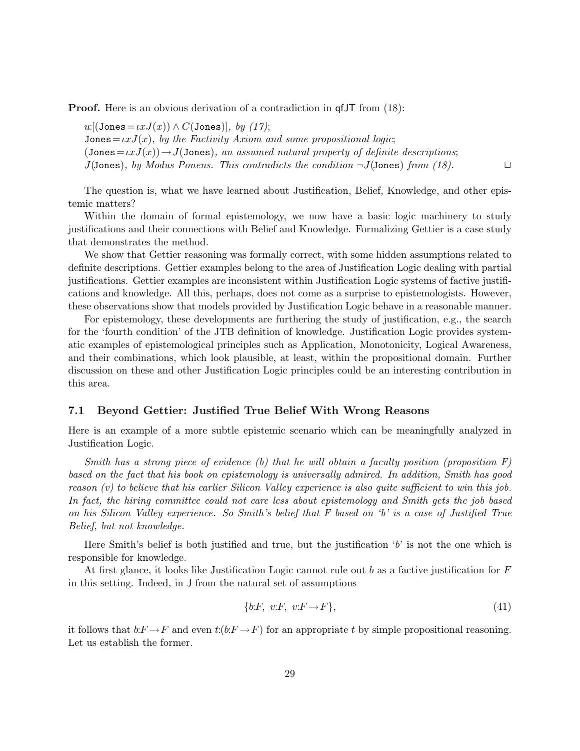**Proof.** Here is an obvious derivation of a contradiction in  $\mathsf{qfJT}$  from (18):

 $u:[(\text{Jones}=\iota xJ(x)) \wedge C(\text{Jones})], by (17);$ Jones =  $\iota xJ(x)$ , by the Factivity Axiom and some propositional logic;  $(Jones = \iota x J(x)) \rightarrow J(Jones)$ , an assumed natural property of definite descriptions; J(Jones), by Modus Ponens. This contradicts the condition  $\neg J$ (Jones) from (18).

The question is, what we have learned about Justification, Belief, Knowledge, and other epistemic matters?

Within the domain of formal epistemology, we now have a basic logic machinery to study justifications and their connections with Belief and Knowledge. Formalizing Gettier is a case study that demonstrates the method.

We show that Gettier reasoning was formally correct, with some hidden assumptions related to definite descriptions. Gettier examples belong to the area of Justification Logic dealing with partial justifications. Gettier examples are inconsistent within Justification Logic systems of factive justifications and knowledge. All this, perhaps, does not come as a surprise to epistemologists. However, these observations show that models provided by Justification Logic behave in a reasonable manner.

For epistemology, these developments are furthering the study of justification, e.g., the search for the 'fourth condition' of the JTB definition of knowledge. Justification Logic provides systematic examples of epistemological principles such as Application, Monotonicity, Logical Awareness, and their combinations, which look plausible, at least, within the propositional domain. Further discussion on these and other Justification Logic principles could be an interesting contribution in this area.

#### 7.1 Beyond Gettier: Justified True Belief With Wrong Reasons

Here is an example of a more subtle epistemic scenario which can be meaningfully analyzed in Justification Logic.

Smith has a strong piece of evidence  $(b)$  that he will obtain a faculty position (proposition  $F$ ) based on the fact that his book on epistemology is universally admired. In addition, Smith has good reason (v) to believe that his earlier Silicon Valley experience is also quite sufficient to win this job. In fact, the hiring committee could not care less about epistemology and Smith gets the job based on his Silicon Valley experience. So Smith's belief that F based on 'b' is a case of Justified True Belief, but not knowledge.

Here Smith's belief is both justified and true, but the justification  $b'$  is not the one which is responsible for knowledge.

At first glance, it looks like Justification Logic cannot rule out b as a factive justification for  $F$ in this setting. Indeed, in J from the natural set of assumptions

$$
\{b:F, v:F, v:F \to F\},\tag{41}
$$

it follows that  $b:F \to F$  and even  $t:(b:F \to F)$  for an appropriate t by simple propositional reasoning. Let us establish the former.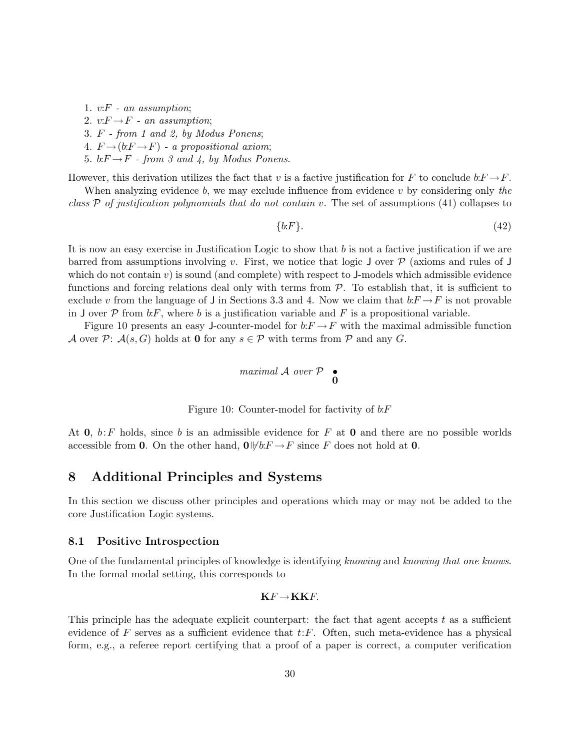1.  $v: F$  - an assumption;

- 2.  $v: F \to F$  an assumption;
- 3. F from 1 and 2, by Modus Ponens;
- 4.  $F \rightarrow (b:F \rightarrow F)$  a propositional axiom;
- 5.  $b: F \to F$  from 3 and 4, by Modus Ponens.

However, this derivation utilizes the fact that v is a factive justification for F to conclude  $b: F \to F$ .

When analyzing evidence b, we may exclude influence from evidence  $v$  by considering only the class P of justification polynomials that do not contain v. The set of assumptions (41) collapses to

$$
\{b:F\}.\tag{42}
$$

It is now an easy exercise in Justification Logic to show that b is not a factive justification if we are barred from assumptions involving v. First, we notice that logic J over  $\mathcal P$  (axioms and rules of J which do not contain  $v$ ) is sound (and complete) with respect to J-models which admissible evidence functions and forcing relations deal only with terms from  $P$ . To establish that, it is sufficient to exclude v from the language of J in Sections 3.3 and 4. Now we claim that  $b: F \to F$  is not provable in J over  $P$  from  $b.F$ , where b is a justification variable and F is a propositional variable.

Figure 10 presents an easy J-counter-model for  $b: F \to F$  with the maximal admissible function A over P:  $A(s, G)$  holds at 0 for any  $s \in \mathcal{P}$  with terms from P and any G.

$$
\textit{maximal } \mathcal{A} \textit{ over } \mathcal{P} \quad \bullet \\ \mathbf{0}
$$

Figure 10: Counter-model for factivity of b:F

At  $0, b: F$  holds, since b is an admissible evidence for F at  $0$  and there are no possible worlds accessible from 0. On the other hand,  $0 \nvert \nvert b \rvert F \rightarrow F$  since F does not hold at 0.

### 8 Additional Principles and Systems

In this section we discuss other principles and operations which may or may not be added to the core Justification Logic systems.

#### 8.1 Positive Introspection

One of the fundamental principles of knowledge is identifying knowing and knowing that one knows. In the formal modal setting, this corresponds to

$$
\mathbf{K} F \rightarrow \mathbf{K} \mathbf{K} F.
$$

This principle has the adequate explicit counterpart: the fact that agent accepts  $t$  as a sufficient evidence of F serves as a sufficient evidence that  $t$ :F. Often, such meta-evidence has a physical form, e.g., a referee report certifying that a proof of a paper is correct, a computer verification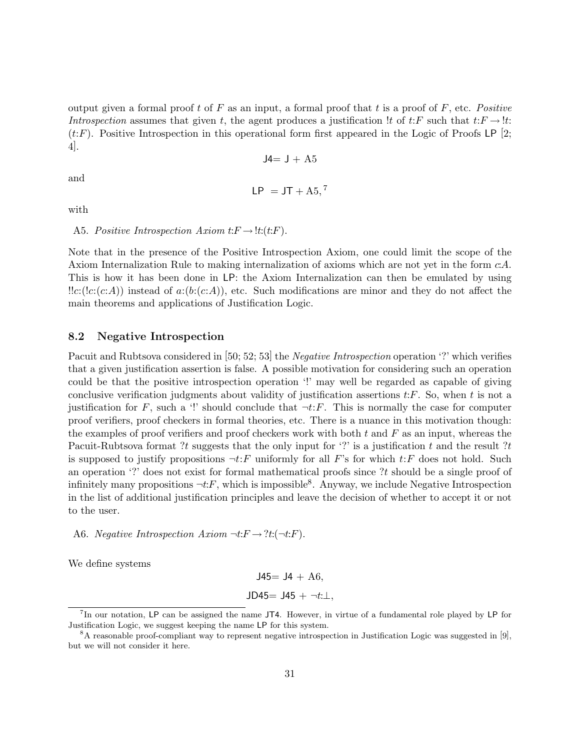output given a formal proof t of F as an input, a formal proof that t is a proof of F, etc. Positive Introspection assumes that given t, the agent produces a justification !t of t:F such that  $t: F \to \mathcal{L}$ :  $(t:F)$ . Positive Introspection in this operational form first appeared in the Logic of Proofs LP [2; 4].

$$
J4 = J + A5
$$

 $LP = JT + A5, ^7$ 

and

with

A5. Positive Introspection  $Axiom t: F \to \text{!}t:(t:F)$ .

Note that in the presence of the Positive Introspection Axiom, one could limit the scope of the Axiom Internalization Rule to making internalization of axioms which are not yet in the form c:A. This is how it has been done in LP: the Axiom Internalization can then be emulated by using  $!!c:(c:(c:(c:A))$  instead of  $a:(b:(c:A)),$  etc. Such modifications are minor and they do not affect the main theorems and applications of Justification Logic.

#### 8.2 Negative Introspection

Pacuit and Rubtsova considered in [50; 52; 53] the Negative Introspection operation '?' which verifies that a given justification assertion is false. A possible motivation for considering such an operation could be that the positive introspection operation '!' may well be regarded as capable of giving conclusive verification judgments about validity of justification assertions  $t$ : $F$ . So, when  $t$  is not a justification for F, such a '!' should conclude that  $\neg t$ : F. This is normally the case for computer proof verifiers, proof checkers in formal theories, etc. There is a nuance in this motivation though: the examples of proof verifiers and proof checkers work with both  $t$  and  $\overline{F}$  as an input, whereas the Pacuit-Rubtsova format ?t suggests that the only input for '?' is a justification t and the result ?t is supposed to justify propositions  $\neg t$ : F uniformly for all F's for which  $t$ : F does not hold. Such an operation '?' does not exist for formal mathematical proofs since  $\ell t$  should be a single proof of infinitely many propositions  $\neg t$ : F, which is impossible<sup>8</sup>. Anyway, we include Negative Introspection in the list of additional justification principles and leave the decision of whether to accept it or not to the user.

A6. Negative Introspection  $Axiom \neg t: F \rightarrow ?t:(\neg t:F)$ .

We define systems

$$
J45 = J4 + A6,
$$
  

$$
JD45 = J45 + \neg t:\perp,
$$

<sup>&</sup>lt;sup>7</sup>In our notation, LP can be assigned the name JT4. However, in virtue of a fundamental role played by LP for Justification Logic, we suggest keeping the name LP for this system.

<sup>8</sup>A reasonable proof-compliant way to represent negative introspection in Justification Logic was suggested in [9], but we will not consider it here.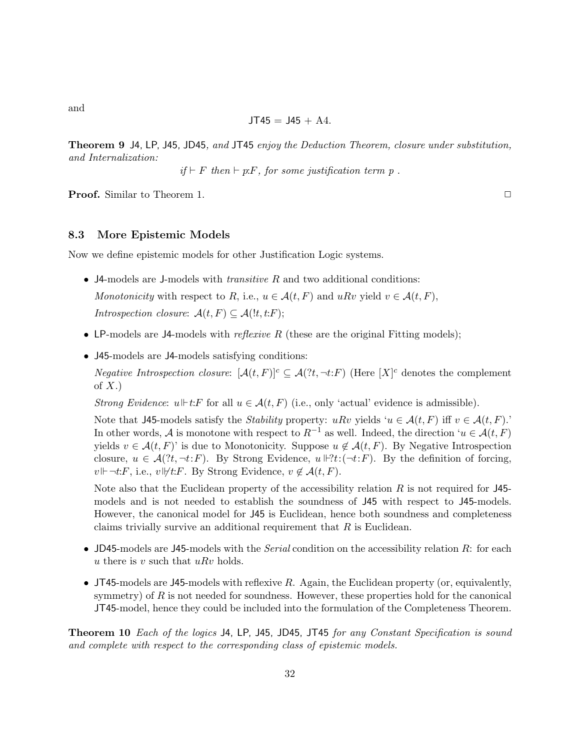and

$$
JT45 = J45 + A4.
$$

Theorem 9 J4, LP, J45, JD45, and JT45 enjoy the Deduction Theorem, closure under substitution, and Internalization:

if 
$$
\vdash F
$$
 then  $\vdash p:F$ , for some justification term p.

**Proof.** Similar to Theorem 1.  $\Box$ 

#### 8.3 More Epistemic Models

Now we define epistemic models for other Justification Logic systems.

- J4-models are J-models with *transitive*  $R$  and two additional conditions: Monotonicity with respect to R, i.e.,  $u \in \mathcal{A}(t, F)$  and  $uRv$  yield  $v \in \mathcal{A}(t, F)$ , Introspection closure:  $A(t, F) \subseteq A(!t, t: F);$
- LP-models are J4-models with *reflexive R* (these are the original Fitting models);
- J45-models are J4-models satisfying conditions:

*Negative Introspection closure:*  $[\mathcal{A}(t, F)]^c \subseteq \mathcal{A}(?t, \neg t \cdot F)$  (Here  $[X]^c$  denotes the complement of  $X.$ )

Strong Evidence:  $u \Vdash t$ : F for all  $u \in \mathcal{A}(t, F)$  (i.e., only 'actual' evidence is admissible).

Note that J45-models satisfy the *Stability* property: uRv yields ' $u \in \mathcal{A}(t, F)$  iff  $v \in \mathcal{A}(t, F)$ .' In other words, A is monotone with respect to  $R^{-1}$  as well. Indeed, the direction ' $u \in \mathcal{A}(t, F)$ yields  $v \in \mathcal{A}(t, F)$ ' is due to Monotonicity. Suppose  $u \notin \mathcal{A}(t, F)$ . By Negative Introspection closure,  $u \in \mathcal{A}(?t, \neg t \cdot F)$ . By Strong Evidence,  $u \Vdash ?t \cdot (\neg t \cdot F)$ . By the definition of forcing,  $v \Vdash \neg t$ :F, i.e.,  $v \Vdash t$ :F. By Strong Evidence,  $v \notin \mathcal{A}(t, F)$ .

Note also that the Euclidean property of the accessibility relation  $R$  is not required for J45models and is not needed to establish the soundness of J45 with respect to J45-models. However, the canonical model for J45 is Euclidean, hence both soundness and completeness claims trivially survive an additional requirement that  $R$  is Euclidean.

- JD45-models are J45-models with the *Serial* condition on the accessibility relation  $R$ : for each u there is v such that  $uRv$  holds.
- JT45-models are J45-models with reflexive  $R$ . Again, the Euclidean property (or, equivalently, symmetry) of  $R$  is not needed for soundness. However, these properties hold for the canonical JT45-model, hence they could be included into the formulation of the Completeness Theorem.

Theorem 10 Each of the logics J4, LP, J45, JD45, JT45 for any Constant Specification is sound and complete with respect to the corresponding class of epistemic models.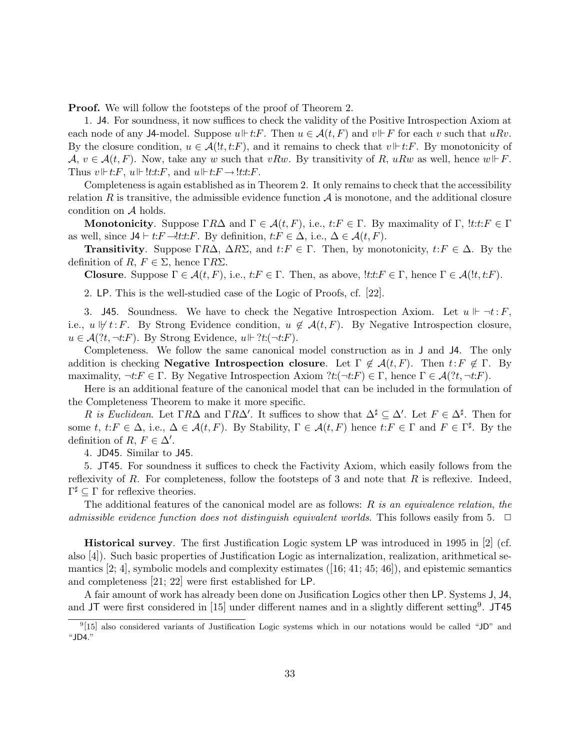Proof. We will follow the footsteps of the proof of Theorem 2.

1. J4. For soundness, it now suffices to check the validity of the Positive Introspection Axiom at each node of any J4-model. Suppose  $u \Vdash t$ : Then  $u \in \mathcal{A}(t, F)$  and  $v \Vdash F$  for each v such that  $u R v$ . By the closure condition,  $u \in \mathcal{A}(l,t;F)$ , and it remains to check that  $v \Vdash t:F$ . By monotonicity of  $\mathcal{A}, v \in \mathcal{A}(t, F)$ . Now, take any w such that vRw. By transitivity of R, uRw as well, hence  $w \Vdash F$ . Thus  $v \Vdash t$ :  $F$ ,  $u \Vdash !t$ : $t$ :  $F$ , and  $u \Vdash t$ : $F \rightarrow !t$ : $t$ : $F$ .

Completeness is again established as in Theorem 2. It only remains to check that the accessibility relation R is transitive, the admissible evidence function  $\mathcal A$  is monotone, and the additional closure condition on A holds.

**Monotonicity.** Suppose  $\Gamma R\Delta$  and  $\Gamma \in \mathcal{A}(t, F)$ , i.e.,  $t: F \in \Gamma$ . By maximality of  $\Gamma$ ,  $'t:t: F \in \Gamma$ as well, since  $J4 \vdash t: F \rightarrow \forall t: t: F$ . By definition,  $t: F \in \Delta$ , i.e.,  $\Delta \in \mathcal{A}(t, F)$ .

**Transitivity.** Suppose  $\Gamma R\Delta$ ,  $\Delta R\Sigma$ , and  $t: F \in \Gamma$ . Then, by monotonicity,  $t: F \in \Delta$ . By the definition of  $R, F \in \Sigma$ , hence  $\Gamma R \Sigma$ .

Closure. Suppose  $\Gamma \in \mathcal{A}(t, F)$ , i.e.,  $t: F \in \Gamma$ . Then, as above,  $! t: F \in \Gamma$ , hence  $\Gamma \in \mathcal{A}(t, t: F)$ .

2. LP. This is the well-studied case of the Logic of Proofs, cf. [22].

3. J45. Soundness. We have to check the Negative Introspection Axiom. Let  $u \Vdash \neg t : F$ , i.e.,  $u \not\parallel t: F$ . By Strong Evidence condition,  $u \notin \mathcal{A}(t, F)$ . By Negative Introspection closure,  $u \in \mathcal{A}(?t, \neg t \cdot F)$ . By Strong Evidence,  $u \Vdash ?t \cdot (\neg t \cdot F)$ .

Completeness. We follow the same canonical model construction as in J and J4. The only addition is checking **Negative Introspection closure**. Let  $\Gamma \notin \mathcal{A}(t, F)$ . Then  $t: F \notin \Gamma$ . By maximality,  $\neg t: F \in \Gamma$ . By Negative Introspection Axiom  $?t: (\neg t:F) \in \Gamma$ , hence  $\Gamma \in \mathcal{A}(?t, \neg t:F)$ .

Here is an additional feature of the canonical model that can be included in the formulation of the Completeness Theorem to make it more specific.

R is Euclidean. Let  $\Gamma R\Delta$  and  $\Gamma R\Delta'$ . It suffices to show that  $\Delta^{\sharp} \subseteq \Delta'$ . Let  $F \in \Delta^{\sharp}$ . Then for some t,  $t: F \in \Delta$ , i.e.,  $\Delta \in \mathcal{A}(t, F)$ . By Stability,  $\Gamma \in \mathcal{A}(t, F)$  hence  $t: F \in \Gamma$  and  $F \in \Gamma^{\sharp}$ . By the definition of  $R, F \in \Delta'$ .

4. JD45. Similar to J45.

5. JT45. For soundness it suffices to check the Factivity Axiom, which easily follows from the reflexivity of R. For completeness, follow the footsteps of 3 and note that  $R$  is reflexive. Indeed,  $\Gamma^{\sharp} \subseteq \Gamma$  for reflexive theories.

The additional features of the canonical model are as follows:  $R$  is an equivalence relation, the admissible evidence function does not distinguish equivalent worlds. This follows easily from 5.  $\Box$ 

Historical survey. The first Justification Logic system LP was introduced in 1995 in [2] (cf. also [4]). Such basic properties of Justification Logic as internalization, realization, arithmetical semantics  $[2, 4]$ , symbolic models and complexity estimates  $([16; 41; 45; 46])$ , and epistemic semantics and completeness [21; 22] were first established for LP.

A fair amount of work has already been done on Jusification Logics other then LP. Systems J, J4, and JT were first considered in [15] under different names and in a slightly different setting<sup>9</sup>. JT45

<sup>9</sup> [15] also considered variants of Justification Logic systems which in our notations would be called "JD" and "JD4."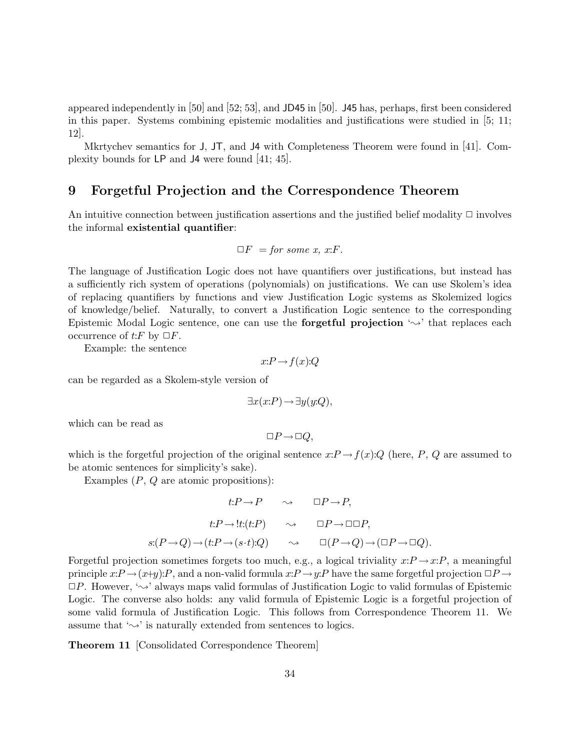appeared independently in [50] and [52; 53], and JD45 in [50]. J45 has, perhaps, first been considered in this paper. Systems combining epistemic modalities and justifications were studied in [5; 11; 12].

Mkrtychev semantics for J, JT, and J4 with Completeness Theorem were found in [41]. Complexity bounds for LP and J4 were found [41; 45].

### 9 Forgetful Projection and the Correspondence Theorem

An intuitive connection between justification assertions and the justified belief modality  $\Box$  involves the informal existential quantifier:

$$
\Box F = \text{for some } x, x \mathpunct{:}F.
$$

The language of Justification Logic does not have quantifiers over justifications, but instead has a sufficiently rich system of operations (polynomials) on justifications. We can use Skolem's idea of replacing quantifiers by functions and view Justification Logic systems as Skolemized logics of knowledge/belief. Naturally, to convert a Justification Logic sentence to the corresponding Epistemic Modal Logic sentence, one can use the **forgetful projection**  $\sim$  that replaces each occurrence of  $t$ : F by  $\Box F$ .

Example: the sentence

$$
x \nrightarrow{P} f(x) \nrightarrow{Q}
$$

can be regarded as a Skolem-style version of

$$
\exists x(x \mathpunct{:} P) \rightarrow \exists y(y \mathpunct{:} Q),
$$

which can be read as

$$
\Box P \rightarrow \Box Q,
$$

which is the forgetful projection of the original sentence  $x: P \to f(x):Q$  (here, P, Q are assumed to be atomic sentences for simplicity's sake).

Examples  $(P, Q)$  are atomic propositions):

$$
t:P \to P \qquad \leadsto \qquad \Box P \to P,
$$
  

$$
t:P \to !t:(t:P) \qquad \leadsto \qquad \Box P \to \Box \Box P,
$$
  

$$
s:(P \to Q) \to (t:P \to (s \cdot t):Q) \qquad \leadsto \qquad \Box (P \to Q) \to (\Box P \to \Box Q).
$$

Forgetful projection sometimes forgets too much, e.g., a logical triviality  $x: P \to x: P$ , a meaningful principle  $x: P \to (x+y):P$ , and a non-valid formula  $x: P \to y:P$  have the same forgetful projection  $\Box P \to \Box P$  $\Box P$ . However, ' $\sim$ ' always maps valid formulas of Justification Logic to valid formulas of Epistemic Logic. The converse also holds: any valid formula of Epistemic Logic is a forgetful projection of some valid formula of Justification Logic. This follows from Correspondence Theorem 11. We assume that ' $\sim$ ' is naturally extended from sentences to logics.

Theorem 11 [Consolidated Correspondence Theorem]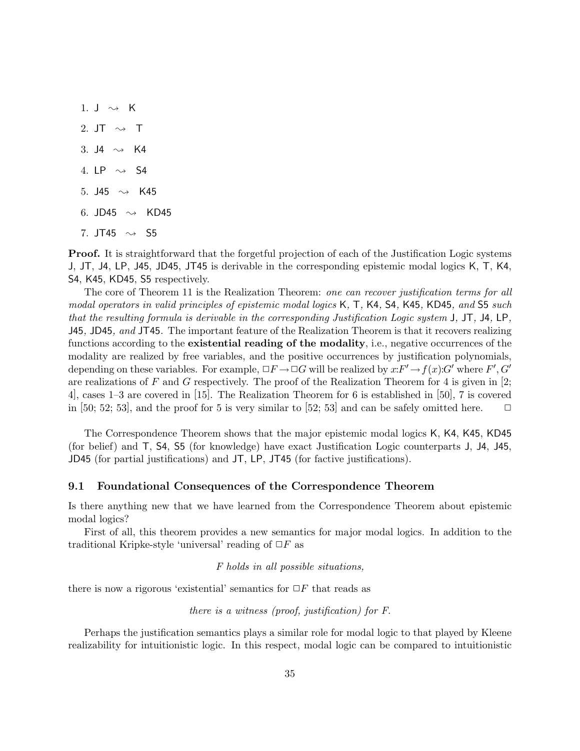1. J  $\rightsquigarrow$  K 2. JT  $\rightsquigarrow$  T 3. J4  $\rightsquigarrow$  K4 4. LP  $\sim$  S4 5. J45  $\sim$  K45 6. JD45  $\rightsquigarrow$  KD45 7. JT45  $\sim$  S5

Proof. It is straightforward that the forgetful projection of each of the Justification Logic systems J, JT, J4, LP, J45, JD45, JT45 is derivable in the corresponding epistemic modal logics K, T, K4, S4, K45, KD45, S5 respectively.

The core of Theorem 11 is the Realization Theorem: one can recover justification terms for all modal operators in valid principles of epistemic modal logics K, T, K4, S4, K45, KD45, and S5 such that the resulting formula is derivable in the corresponding Justification Logic system J, JT, J4, LP, J45, JD45, and JT45. The important feature of the Realization Theorem is that it recovers realizing functions according to the **existential reading of the modality**, i.e., negative occurrences of the modality are realized by free variables, and the positive occurrences by justification polynomials, depending on these variables. For example,  $\Box F \to \Box G$  will be realized by  $x: F' \to f(x): G'$  where  $F', G'$ are realizations of F and G respectively. The proof of the Realization Theorem for 4 is given in  $[2;$ 4], cases 1–3 are covered in [15]. The Realization Theorem for 6 is established in [50], 7 is covered in [50; 52; 53], and the proof for 5 is very similar to [52; 53] and can be safely omitted here.  $\Box$ 

The Correspondence Theorem shows that the major epistemic modal logics K, K4, K45, KD45 (for belief) and T, S4, S5 (for knowledge) have exact Justification Logic counterparts J, J4, J45, JD45 (for partial justifications) and JT, LP, JT45 (for factive justifications).

#### 9.1 Foundational Consequences of the Correspondence Theorem

Is there anything new that we have learned from the Correspondence Theorem about epistemic modal logics?

First of all, this theorem provides a new semantics for major modal logics. In addition to the traditional Kripke-style 'universal' reading of  $\Box F$  as

F holds in all possible situations,

there is now a rigorous 'existential' semantics for  $\Box F$  that reads as

there is a witness (proof, justification) for F.

Perhaps the justification semantics plays a similar role for modal logic to that played by Kleene realizability for intuitionistic logic. In this respect, modal logic can be compared to intuitionistic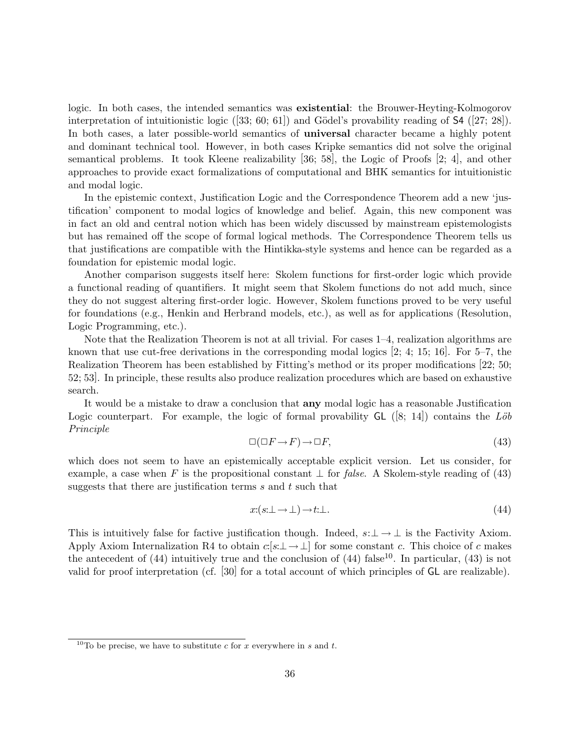logic. In both cases, the intended semantics was existential: the Brouwer-Heyting-Kolmogorov interpretation of intuitionistic logic  $([33; 60; 61])$  and Gödel's provability reading of S4  $([27; 28])$ . In both cases, a later possible-world semantics of universal character became a highly potent and dominant technical tool. However, in both cases Kripke semantics did not solve the original semantical problems. It took Kleene realizability [36; 58], the Logic of Proofs [2; 4], and other approaches to provide exact formalizations of computational and BHK semantics for intuitionistic and modal logic.

In the epistemic context, Justification Logic and the Correspondence Theorem add a new 'justification' component to modal logics of knowledge and belief. Again, this new component was in fact an old and central notion which has been widely discussed by mainstream epistemologists but has remained off the scope of formal logical methods. The Correspondence Theorem tells us that justifications are compatible with the Hintikka-style systems and hence can be regarded as a foundation for epistemic modal logic.

Another comparison suggests itself here: Skolem functions for first-order logic which provide a functional reading of quantifiers. It might seem that Skolem functions do not add much, since they do not suggest altering first-order logic. However, Skolem functions proved to be very useful for foundations (e.g., Henkin and Herbrand models, etc.), as well as for applications (Resolution, Logic Programming, etc.).

Note that the Realization Theorem is not at all trivial. For cases 1–4, realization algorithms are known that use cut-free derivations in the corresponding modal logics [2; 4; 15; 16]. For 5–7, the Realization Theorem has been established by Fitting's method or its proper modifications [22; 50; 52; 53]. In principle, these results also produce realization procedures which are based on exhaustive search.

It would be a mistake to draw a conclusion that any modal logic has a reasonable Justification Logic counterpart. For example, the logic of formal provability GL ([8; 14]) contains the Löb Principle

$$
\Box(\Box F \to F) \to \Box F,\tag{43}
$$

which does not seem to have an epistemically acceptable explicit version. Let us consider, for example, a case when F is the propositional constant  $\perp$  for false. A Skolem-style reading of (43) suggests that there are justification terms  $s$  and  $t$  such that

$$
x(s:\perp \rightarrow \perp) \rightarrow t:\perp. \tag{44}
$$

This is intuitively false for factive justification though. Indeed,  $s:\perp \to \perp$  is the Factivity Axiom. Apply Axiom Internalization R4 to obtain  $c:[s:\perp\to\perp]$  for some constant c. This choice of c makes the antecedent of  $(44)$  intuitively true and the conclusion of  $(44)$  false<sup>10</sup>. In particular,  $(43)$  is not valid for proof interpretation (cf. [30] for a total account of which principles of GL are realizable).

<sup>&</sup>lt;sup>10</sup>To be precise, we have to substitute c for x everywhere in s and t.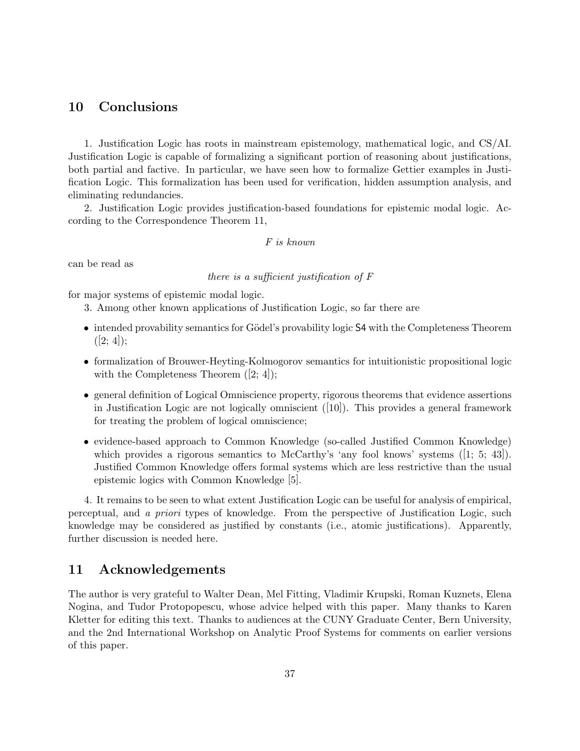### 10 Conclusions

1. Justification Logic has roots in mainstream epistemology, mathematical logic, and CS/AI. Justification Logic is capable of formalizing a significant portion of reasoning about justifications, both partial and factive. In particular, we have seen how to formalize Gettier examples in Justification Logic. This formalization has been used for verification, hidden assumption analysis, and eliminating redundancies.

2. Justification Logic provides justification-based foundations for epistemic modal logic. According to the Correspondence Theorem 11,

#### F is known

can be read as

#### there is a sufficient justification of F

for major systems of epistemic modal logic.

- 3. Among other known applications of Justification Logic, so far there are
- intended provability semantics for Gödel's provability logic S4 with the Completeness Theorem  $([2; 4])$ ;
- formalization of Brouwer-Heyting-Kolmogorov semantics for intuitionistic propositional logic with the Completeness Theorem  $([2; 4])$ ;
- general definition of Logical Omniscience property, rigorous theorems that evidence assertions in Justification Logic are not logically omniscient ([10]). This provides a general framework for treating the problem of logical omniscience;
- evidence-based approach to Common Knowledge (so-called Justified Common Knowledge) which provides a rigorous semantics to McCarthy's 'any fool knows' systems  $([1; 5; 43])$ . Justified Common Knowledge offers formal systems which are less restrictive than the usual epistemic logics with Common Knowledge [5].

4. It remains to be seen to what extent Justification Logic can be useful for analysis of empirical, perceptual, and a priori types of knowledge. From the perspective of Justification Logic, such knowledge may be considered as justified by constants (i.e., atomic justifications). Apparently, further discussion is needed here.

### 11 Acknowledgements

The author is very grateful to Walter Dean, Mel Fitting, Vladimir Krupski, Roman Kuznets, Elena Nogina, and Tudor Protopopescu, whose advice helped with this paper. Many thanks to Karen Kletter for editing this text. Thanks to audiences at the CUNY Graduate Center, Bern University, and the 2nd International Workshop on Analytic Proof Systems for comments on earlier versions of this paper.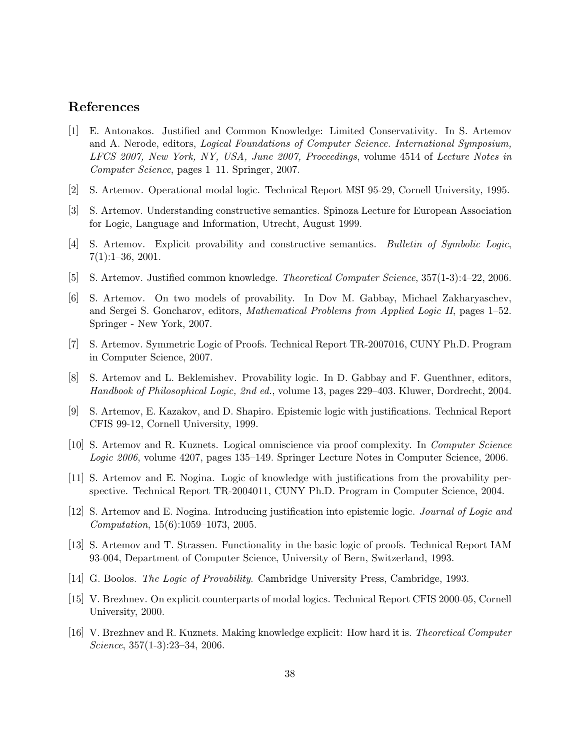### References

- [1] E. Antonakos. Justified and Common Knowledge: Limited Conservativity. In S. Artemov and A. Nerode, editors, Logical Foundations of Computer Science. International Symposium, LFCS 2007, New York, NY, USA, June 2007, Proceedings, volume 4514 of Lecture Notes in Computer Science, pages 1–11. Springer, 2007.
- [2] S. Artemov. Operational modal logic. Technical Report MSI 95-29, Cornell University, 1995.
- [3] S. Artemov. Understanding constructive semantics. Spinoza Lecture for European Association for Logic, Language and Information, Utrecht, August 1999.
- [4] S. Artemov. Explicit provability and constructive semantics. Bulletin of Symbolic Logic,  $7(1):1-36, 2001.$
- [5] S. Artemov. Justified common knowledge. Theoretical Computer Science, 357(1-3):4–22, 2006.
- [6] S. Artemov. On two models of provability. In Dov M. Gabbay, Michael Zakharyaschev, and Sergei S. Goncharov, editors, Mathematical Problems from Applied Logic II, pages 1–52. Springer - New York, 2007.
- [7] S. Artemov. Symmetric Logic of Proofs. Technical Report TR-2007016, CUNY Ph.D. Program in Computer Science, 2007.
- [8] S. Artemov and L. Beklemishev. Provability logic. In D. Gabbay and F. Guenthner, editors, Handbook of Philosophical Logic, 2nd ed., volume 13, pages 229–403. Kluwer, Dordrecht, 2004.
- [9] S. Artemov, E. Kazakov, and D. Shapiro. Epistemic logic with justifications. Technical Report CFIS 99-12, Cornell University, 1999.
- [10] S. Artemov and R. Kuznets. Logical omniscience via proof complexity. In Computer Science Logic 2006, volume 4207, pages 135–149. Springer Lecture Notes in Computer Science, 2006.
- [11] S. Artemov and E. Nogina. Logic of knowledge with justifications from the provability perspective. Technical Report TR-2004011, CUNY Ph.D. Program in Computer Science, 2004.
- [12] S. Artemov and E. Nogina. Introducing justification into epistemic logic. Journal of Logic and Computation, 15(6):1059–1073, 2005.
- [13] S. Artemov and T. Strassen. Functionality in the basic logic of proofs. Technical Report IAM 93-004, Department of Computer Science, University of Bern, Switzerland, 1993.
- [14] G. Boolos. The Logic of Provability. Cambridge University Press, Cambridge, 1993.
- [15] V. Brezhnev. On explicit counterparts of modal logics. Technical Report CFIS 2000-05, Cornell University, 2000.
- [16] V. Brezhnev and R. Kuznets. Making knowledge explicit: How hard it is. Theoretical Computer Science, 357(1-3):23–34, 2006.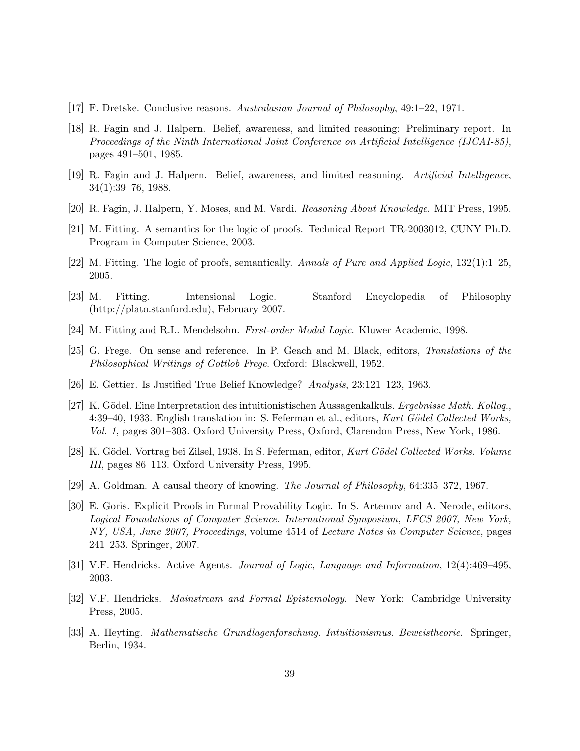- [17] F. Dretske. Conclusive reasons. Australasian Journal of Philosophy, 49:1–22, 1971.
- [18] R. Fagin and J. Halpern. Belief, awareness, and limited reasoning: Preliminary report. In Proceedings of the Ninth International Joint Conference on Artificial Intelligence (IJCAI-85), pages 491–501, 1985.
- [19] R. Fagin and J. Halpern. Belief, awareness, and limited reasoning. Artificial Intelligence, 34(1):39–76, 1988.
- [20] R. Fagin, J. Halpern, Y. Moses, and M. Vardi. Reasoning About Knowledge. MIT Press, 1995.
- [21] M. Fitting. A semantics for the logic of proofs. Technical Report TR-2003012, CUNY Ph.D. Program in Computer Science, 2003.
- [22] M. Fitting. The logic of proofs, semantically. Annals of Pure and Applied Logic, 132(1):1–25, 2005.
- [23] M. Fitting. Intensional Logic. Stanford Encyclopedia of Philosophy (http://plato.stanford.edu), February 2007.
- [24] M. Fitting and R.L. Mendelsohn. First-order Modal Logic. Kluwer Academic, 1998.
- [25] G. Frege. On sense and reference. In P. Geach and M. Black, editors, Translations of the Philosophical Writings of Gottlob Frege. Oxford: Blackwell, 1952.
- [26] E. Gettier. Is Justified True Belief Knowledge? Analysis, 23:121–123, 1963.
- [27] K. Gödel. Eine Interpretation des intuitionistischen Aussagenkalkuls. Ergebnisse Math. Kolloq., 4:39–40, 1933. English translation in: S. Feferman et al., editors, Kurt Gödel Collected Works, Vol. 1, pages 301–303. Oxford University Press, Oxford, Clarendon Press, New York, 1986.
- [28] K. Gödel. Vortrag bei Zilsel, 1938. In S. Feferman, editor, Kurt Gödel Collected Works. Volume III, pages 86–113. Oxford University Press, 1995.
- [29] A. Goldman. A causal theory of knowing. The Journal of Philosophy, 64:335–372, 1967.
- [30] E. Goris. Explicit Proofs in Formal Provability Logic. In S. Artemov and A. Nerode, editors, Logical Foundations of Computer Science. International Symposium, LFCS 2007, New York, NY, USA, June 2007, Proceedings, volume 4514 of Lecture Notes in Computer Science, pages 241–253. Springer, 2007.
- [31] V.F. Hendricks. Active Agents. Journal of Logic, Language and Information, 12(4):469–495, 2003.
- [32] V.F. Hendricks. *Mainstream and Formal Epistemology*. New York: Cambridge University Press, 2005.
- [33] A. Heyting. Mathematische Grundlagenforschung. Intuitionismus. Beweistheorie. Springer, Berlin, 1934.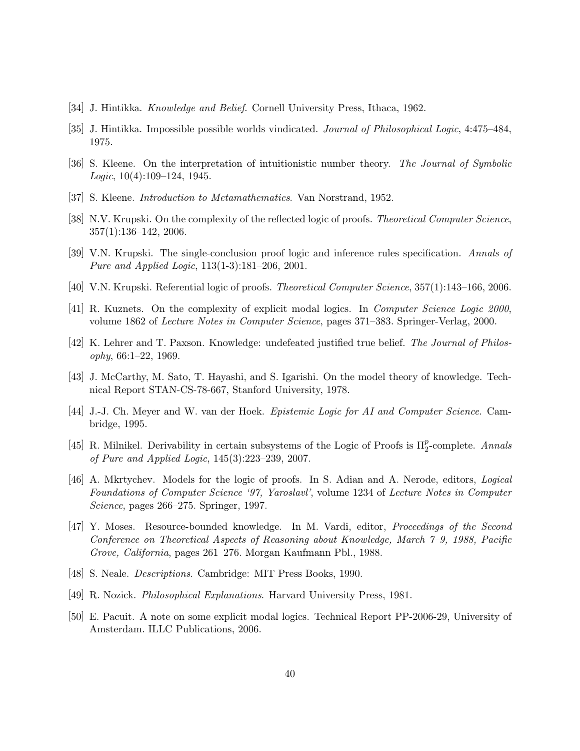- [34] J. Hintikka. Knowledge and Belief. Cornell University Press, Ithaca, 1962.
- [35] J. Hintikka. Impossible possible worlds vindicated. Journal of Philosophical Logic, 4:475–484, 1975.
- [36] S. Kleene. On the interpretation of intuitionistic number theory. The Journal of Symbolic Logic, 10(4):109–124, 1945.
- [37] S. Kleene. Introduction to Metamathematics. Van Norstrand, 1952.
- [38] N.V. Krupski. On the complexity of the reflected logic of proofs. *Theoretical Computer Science*, 357(1):136–142, 2006.
- [39] V.N. Krupski. The single-conclusion proof logic and inference rules specification. Annals of Pure and Applied Logic, 113(1-3):181–206, 2001.
- [40] V.N. Krupski. Referential logic of proofs. Theoretical Computer Science, 357(1):143–166, 2006.
- [41] R. Kuznets. On the complexity of explicit modal logics. In Computer Science Logic 2000, volume 1862 of Lecture Notes in Computer Science, pages 371–383. Springer-Verlag, 2000.
- [42] K. Lehrer and T. Paxson. Knowledge: undefeated justified true belief. The Journal of Philosophy, 66:1–22, 1969.
- [43] J. McCarthy, M. Sato, T. Hayashi, and S. Igarishi. On the model theory of knowledge. Technical Report STAN-CS-78-667, Stanford University, 1978.
- [44] J.-J. Ch. Meyer and W. van der Hoek. Epistemic Logic for AI and Computer Science. Cambridge, 1995.
- [45] R. Milnikel. Derivability in certain subsystems of the Logic of Proofs is  $\Pi_2^p$ -complete. Annals of Pure and Applied Logic, 145(3):223–239, 2007.
- [46] A. Mkrtychev. Models for the logic of proofs. In S. Adian and A. Nerode, editors, Logical Foundations of Computer Science '97, Yaroslavl', volume 1234 of Lecture Notes in Computer Science, pages 266–275. Springer, 1997.
- [47] Y. Moses. Resource-bounded knowledge. In M. Vardi, editor, Proceedings of the Second Conference on Theoretical Aspects of Reasoning about Knowledge, March 7–9, 1988, Pacific Grove, California, pages 261–276. Morgan Kaufmann Pbl., 1988.
- [48] S. Neale. Descriptions. Cambridge: MIT Press Books, 1990.
- [49] R. Nozick. Philosophical Explanations. Harvard University Press, 1981.
- [50] E. Pacuit. A note on some explicit modal logics. Technical Report PP-2006-29, University of Amsterdam. ILLC Publications, 2006.